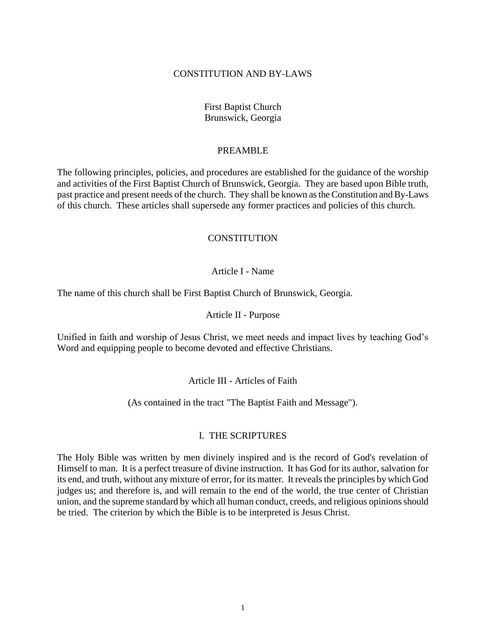# CONSTITUTION AND BY-LAWS

# First Baptist Church Brunswick, Georgia

### PREAMBLE

The following principles, policies, and procedures are established for the guidance of the worship and activities of the First Baptist Church of Brunswick, Georgia. They are based upon Bible truth, past practice and present needs of the church. They shall be known as the Constitution and By-Laws of this church. These articles shall supersede any former practices and policies of this church.

### **CONSTITUTION**

# Article I - Name

The name of this church shall be First Baptist Church of Brunswick, Georgia.

### Article II - Purpose

Unified in faith and worship of Jesus Christ, we meet needs and impact lives by teaching God's Word and equipping people to become devoted and effective Christians.

### Article III - Articles of Faith

(As contained in the tract "The Baptist Faith and Message").

### I. THE SCRIPTURES

The Holy Bible was written by men divinely inspired and is the record of God's revelation of Himself to man. It is a perfect treasure of divine instruction. It has God for its author, salvation for its end, and truth, without any mixture of error, for its matter. It reveals the principles by which God judges us; and therefore is, and will remain to the end of the world, the true center of Christian union, and the supreme standard by which all human conduct, creeds, and religious opinions should be tried. The criterion by which the Bible is to be interpreted is Jesus Christ.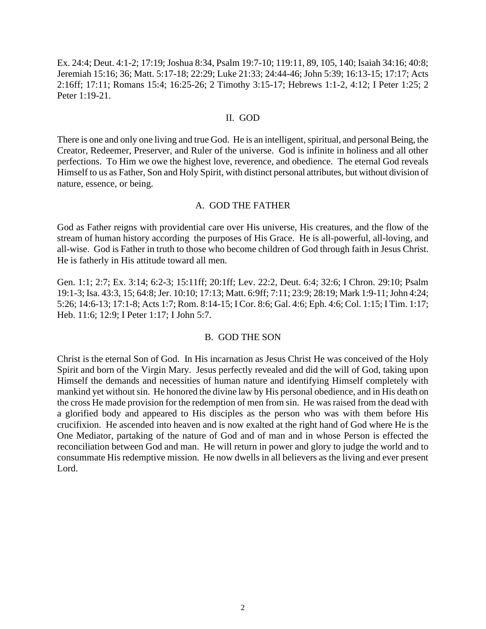Ex. 24:4; Deut. 4:1-2; 17:19; Joshua 8:34, Psalm 19:7-10; 119:11, 89, 105, 140; Isaiah 34:16; 40:8; Jeremiah 15:16; 36; Matt. 5:17-18; 22:29; Luke 21:33; 24:44-46; John 5:39; 16:13-15; 17:17; Acts 2:16ff; 17:11; Romans 15:4; 16:25-26; 2 Timothy 3:15-17; Hebrews 1:1-2, 4:12; I Peter 1:25; 2 Peter 1:19-21.

# II. GOD

There is one and only one living and true God. He is an intelligent, spiritual, and personal Being, the Creator, Redeemer, Preserver, and Ruler of the universe. God is infinite in holiness and all other perfections. To Him we owe the highest love, reverence, and obedience. The eternal God reveals Himself to us as Father, Son and Holy Spirit, with distinct personal attributes, but without division of nature, essence, or being.

# A. GOD THE FATHER

God as Father reigns with providential care over His universe, His creatures, and the flow of the stream of human history according the purposes of His Grace. He is all-powerful, all-loving, and all-wise. God is Father in truth to those who become children of God through faith in Jesus Christ. He is fatherly in His attitude toward all men.

Gen. 1:1; 2:7; Ex. 3:14; 6:2-3; 15:11ff; 20:1ff; Lev. 22:2, Deut. 6:4; 32:6; I Chron. 29:10; Psalm 19:1-3; Isa. 43:3, 15; 64:8; Jer. 10:10; 17:13; Matt. 6:9ff; 7:11; 23:9; 28:19; Mark 1:9-11; John 4:24; 5:26; 14:6-13; 17:1-8; Acts 1:7; Rom. 8:14-15; I Cor. 8:6; Gal. 4:6; Eph. 4:6; Col. 1:15; I Tim. 1:17; Heb. 11:6; 12:9; I Peter 1:17; I John 5:7.

### B. GOD THE SON

Christ is the eternal Son of God. In His incarnation as Jesus Christ He was conceived of the Holy Spirit and born of the Virgin Mary. Jesus perfectly revealed and did the will of God, taking upon Himself the demands and necessities of human nature and identifying Himself completely with mankind yet without sin. He honored the divine law by His personal obedience, and in His death on the cross He made provision for the redemption of men from sin. He was raised from the dead with a glorified body and appeared to His disciples as the person who was with them before His crucifixion. He ascended into heaven and is now exalted at the right hand of God where He is the One Mediator, partaking of the nature of God and of man and in whose Person is effected the reconciliation between God and man. He will return in power and glory to judge the world and to consummate His redemptive mission. He now dwells in all believers as the living and ever present Lord.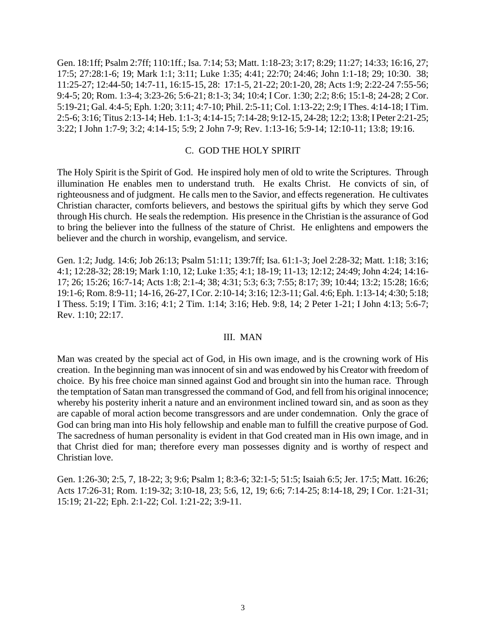Gen. 18:1ff; Psalm 2:7ff; 110:1ff.; Isa. 7:14; 53; Matt. 1:18-23; 3:17; 8:29; 11:27; 14:33; 16:16, 27; 17:5; 27:28:1-6; 19; Mark 1:1; 3:11; Luke 1:35; 4:41; 22:70; 24:46; John 1:1-18; 29; 10:30. 38; 11:25-27; 12:44-50; 14:7-11, 16:15-15, 28: 17:1-5, 21-22; 20:1-20, 28; Acts 1:9; 2:22-24 7:55-56; 9:4-5; 20; Rom. 1:3-4; 3:23-26; 5:6-21; 8:1-3; 34; 10:4; I Cor. 1:30; 2:2; 8:6; 15:1-8; 24-28; 2 Cor. 5:19-21; Gal. 4:4-5; Eph. 1:20; 3:11; 4:7-10; Phil. 2:5-11; Col. 1:13-22; 2:9; I Thes. 4:14-18; I Tim. 2:5-6; 3:16; Titus 2:13-14; Heb. 1:1-3; 4:14-15; 7:14-28; 9:12-15, 24-28; 12:2; 13:8; I Peter 2:21-25; 3:22; I John 1:7-9; 3:2; 4:14-15; 5:9; 2 John 7-9; Rev. 1:13-16; 5:9-14; 12:10-11; 13:8; 19:16.

### C. GOD THE HOLY SPIRIT

The Holy Spirit is the Spirit of God. He inspired holy men of old to write the Scriptures. Through illumination He enables men to understand truth. He exalts Christ. He convicts of sin, of righteousness and of judgment. He calls men to the Savior, and effects regeneration. He cultivates Christian character, comforts believers, and bestows the spiritual gifts by which they serve God through His church. He seals the redemption. His presence in the Christian is the assurance of God to bring the believer into the fullness of the stature of Christ. He enlightens and empowers the believer and the church in worship, evangelism, and service.

Gen. 1:2; Judg. 14:6; Job 26:13; Psalm 51:11; 139:7ff; Isa. 61:1-3; Joel 2:28-32; Matt. 1:18; 3:16; 4:1; 12:28-32; 28:19; Mark 1:10, 12; Luke 1:35; 4:1; 18-19; 11-13; 12:12; 24:49; John 4:24; 14:16- 17; 26; 15:26; 16:7-14; Acts 1:8; 2:1-4; 38; 4:31; 5:3; 6:3; 7:55; 8:17; 39; 10:44; 13:2; 15:28; 16:6; 19:1-6; Rom. 8:9-11; 14-16, 26-27, I Cor. 2:10-14; 3:16; 12:3-11; Gal. 4:6; Eph. 1:13-14; 4:30; 5:18; I Thess. 5:19; I Tim. 3:16; 4:1; 2 Tim. 1:14; 3:16; Heb. 9:8, 14; 2 Peter 1-21; I John 4:13; 5:6-7; Rev. 1:10; 22:17.

### III. MAN

Man was created by the special act of God, in His own image, and is the crowning work of His creation. In the beginning man was innocent of sin and was endowed by his Creator with freedom of choice. By his free choice man sinned against God and brought sin into the human race. Through the temptation of Satan man transgressed the command of God, and fell from his original innocence; whereby his posterity inherit a nature and an environment inclined toward sin, and as soon as they are capable of moral action become transgressors and are under condemnation. Only the grace of God can bring man into His holy fellowship and enable man to fulfill the creative purpose of God. The sacredness of human personality is evident in that God created man in His own image, and in that Christ died for man; therefore every man possesses dignity and is worthy of respect and Christian love.

Gen. 1:26-30; 2:5, 7, 18-22; 3; 9:6; Psalm 1; 8:3-6; 32:1-5; 51:5; Isaiah 6:5; Jer. 17:5; Matt. 16:26; Acts 17:26-31; Rom. 1:19-32; 3:10-18, 23; 5:6, 12, 19; 6:6; 7:14-25; 8:14-18, 29; I Cor. 1:21-31; 15:19; 21-22; Eph. 2:1-22; Col. 1:21-22; 3:9-11.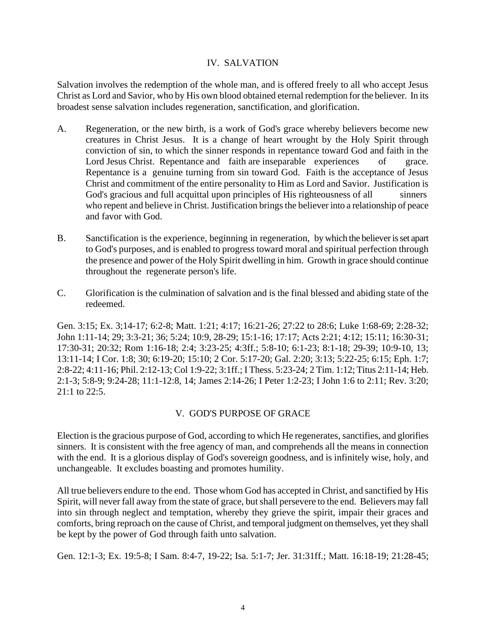# IV. SALVATION

Salvation involves the redemption of the whole man, and is offered freely to all who accept Jesus Christ as Lord and Savior, who by His own blood obtained eternal redemption for the believer. In its broadest sense salvation includes regeneration, sanctification, and glorification.

- A. Regeneration, or the new birth, is a work of God's grace whereby believers become new creatures in Christ Jesus. It is a change of heart wrought by the Holy Spirit through conviction of sin, to which the sinner responds in repentance toward God and faith in the Lord Jesus Christ. Repentance and faith are inseparable experiences of grace. Repentance is a genuine turning from sin toward God. Faith is the acceptance of Jesus Christ and commitment of the entire personality to Him as Lord and Savior. Justification is God's gracious and full acquittal upon principles of His righteousness of all sinners who repent and believe in Christ. Justification brings the believer into a relationship of peace and favor with God.
- B. Sanctification is the experience, beginning in regeneration, by which the believer is set apart to God's purposes, and is enabled to progress toward moral and spiritual perfection through the presence and power of the Holy Spirit dwelling in him. Growth in grace should continue throughout the regenerate person's life.
- C. Glorification is the culmination of salvation and is the final blessed and abiding state of the redeemed.

Gen. 3:15; Ex. 3;14-17; 6:2-8; Matt. 1:21; 4:17; 16:21-26; 27:22 to 28:6; Luke 1:68-69; 2:28-32; John 1:11-14; 29; 3:3-21; 36; 5:24; 10:9, 28-29; 15:1-16; 17:17; Acts 2:21; 4:12; 15:11; 16:30-31; 17:30-31; 20:32; Rom 1:16-18; 2:4; 3:23-25; 4:3ff.; 5:8-10; 6:1-23; 8:1-18; 29-39; 10:9-10, 13; 13:11-14; I Cor. 1:8; 30; 6:19-20; 15:10; 2 Cor. 5:17-20; Gal. 2:20; 3:13; 5:22-25; 6:15; Eph. 1:7; 2:8-22; 4:11-16; Phil. 2:12-13; Col 1:9-22; 3:1ff.; I Thess. 5:23-24; 2 Tim. 1:12; Titus 2:11-14; Heb. 2:1-3; 5:8-9; 9:24-28; 11:1-12:8, 14; James 2:14-26; I Peter 1:2-23; I John 1:6 to 2:11; Rev. 3:20; 21:1 to 22:5.

# V. GOD'S PURPOSE OF GRACE

Election is the gracious purpose of God, according to which He regenerates, sanctifies, and glorifies sinners. It is consistent with the free agency of man, and comprehends all the means in connection with the end. It is a glorious display of God's sovereign goodness, and is infinitely wise, holy, and unchangeable. It excludes boasting and promotes humility.

All true believers endure to the end. Those whom God has accepted in Christ, and sanctified by His Spirit, will never fall away from the state of grace, but shall persevere to the end. Believers may fall into sin through neglect and temptation, whereby they grieve the spirit, impair their graces and comforts, bring reproach on the cause of Christ, and temporal judgment on themselves, yet they shall be kept by the power of God through faith unto salvation.

Gen. 12:1-3; Ex. 19:5-8; I Sam. 8:4-7, 19-22; Isa. 5:1-7; Jer. 31:31ff.; Matt. 16:18-19; 21:28-45;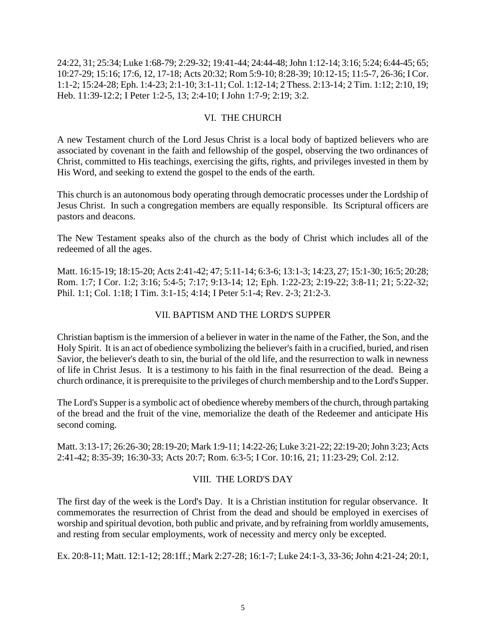24:22, 31; 25:34; Luke 1:68-79; 2:29-32; 19:41-44; 24:44-48; John 1:12-14; 3:16; 5:24; 6:44-45; 65; 10:27-29; 15:16; 17:6, 12, 17-18; Acts 20:32; Rom 5:9-10; 8:28-39; 10:12-15; 11:5-7, 26-36; I Cor. 1:1-2; 15:24-28; Eph. 1:4-23; 2:1-10; 3:1-11; Col. 1:12-14; 2 Thess. 2:13-14; 2 Tim. 1:12; 2:10, 19; Heb. 11:39-12:2; I Peter 1:2-5, 13; 2:4-10; I John 1:7-9; 2:19; 3:2.

# VI. THE CHURCH

A new Testament church of the Lord Jesus Christ is a local body of baptized believers who are associated by covenant in the faith and fellowship of the gospel, observing the two ordinances of Christ, committed to His teachings, exercising the gifts, rights, and privileges invested in them by His Word, and seeking to extend the gospel to the ends of the earth.

This church is an autonomous body operating through democratic processes under the Lordship of Jesus Christ. In such a congregation members are equally responsible. Its Scriptural officers are pastors and deacons.

The New Testament speaks also of the church as the body of Christ which includes all of the redeemed of all the ages.

Matt. 16:15-19; 18:15-20; Acts 2:41-42; 47; 5:11-14; 6:3-6; 13:1-3; 14:23, 27; 15:1-30; 16:5; 20:28; Rom. 1:7; I Cor. 1:2; 3:16; 5:4-5; 7:17; 9:13-14; 12; Eph. 1:22-23; 2:19-22; 3:8-11; 21; 5:22-32; Phil. 1:1; Col. 1:18; I Tim. 3:1-15; 4:14; I Peter 5:1-4; Rev. 2-3; 21:2-3.

# VII. BAPTISM AND THE LORD'S SUPPER

Christian baptism is the immersion of a believer in water in the name of the Father, the Son, and the Holy Spirit. It is an act of obedience symbolizing the believer's faith in a crucified, buried, and risen Savior, the believer's death to sin, the burial of the old life, and the resurrection to walk in newness of life in Christ Jesus. It is a testimony to his faith in the final resurrection of the dead. Being a church ordinance, it is prerequisite to the privileges of church membership and to the Lord's Supper.

The Lord's Supper is a symbolic act of obedience whereby members of the church, through partaking of the bread and the fruit of the vine, memorialize the death of the Redeemer and anticipate His second coming.

Matt. 3:13-17; 26:26-30; 28:19-20; Mark 1:9-11; 14:22-26; Luke 3:21-22; 22:19-20; John 3:23; Acts 2:41-42; 8:35-39; 16:30-33; Acts 20:7; Rom. 6:3-5; I Cor. 10:16, 21; 11:23-29; Col. 2:12.

# VIII. THE LORD'S DAY

The first day of the week is the Lord's Day. It is a Christian institution for regular observance. It commemorates the resurrection of Christ from the dead and should be employed in exercises of worship and spiritual devotion, both public and private, and by refraining from worldly amusements, and resting from secular employments, work of necessity and mercy only be excepted.

Ex. 20:8-11; Matt. 12:1-12; 28:1ff.; Mark 2:27-28; 16:1-7; Luke 24:1-3, 33-36; John 4:21-24; 20:1,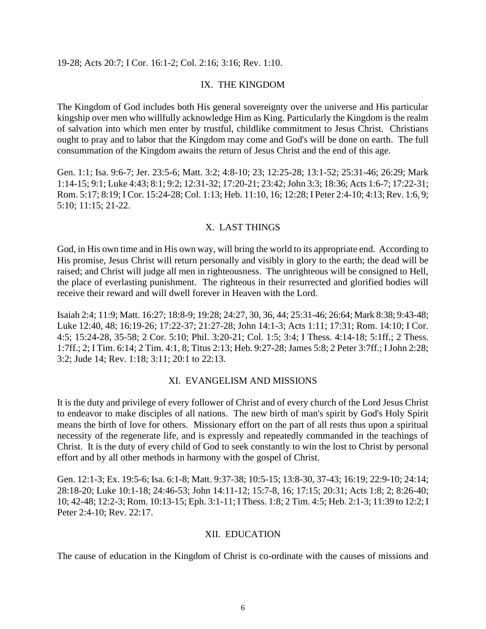# 19-28; Acts 20:7; I Cor. 16:1-2; Col. 2:16; 3:16; Rev. 1:10.

# IX. THE KINGDOM

The Kingdom of God includes both His general sovereignty over the universe and His particular kingship over men who willfully acknowledge Him as King. Particularly the Kingdom is the realm of salvation into which men enter by trustful, childlike commitment to Jesus Christ. Christians ought to pray and to labor that the Kingdom may come and God's will be done on earth. The full consummation of the Kingdom awaits the return of Jesus Christ and the end of this age.

Gen. 1:1; Isa. 9:6-7; Jer. 23:5-6; Matt. 3:2; 4:8-10; 23; 12:25-28; 13:1-52; 25:31-46; 26:29; Mark 1:14-15; 9:1; Luke 4:43; 8:1; 9:2; 12:31-32; 17:20-21; 23:42; John 3:3; 18:36; Acts 1:6-7; 17:22-31; Rom. 5:17; 8:19; I Cor. 15:24-28; Col. 1:13; Heb. 11:10, 16; 12:28; I Peter 2:4-10; 4:13; Rev. 1:6, 9; 5:10; 11:15; 21-22.

# X. LAST THINGS

God, in His own time and in His own way, will bring the world to its appropriate end. According to His promise, Jesus Christ will return personally and visibly in glory to the earth; the dead will be raised; and Christ will judge all men in righteousness. The unrighteous will be consigned to Hell, the place of everlasting punishment. The righteous in their resurrected and glorified bodies will receive their reward and will dwell forever in Heaven with the Lord.

Isaiah 2:4; 11:9; Matt. 16:27; 18:8-9; 19:28; 24:27, 30, 36, 44; 25:31-46; 26:64; Mark 8:38; 9:43-48; Luke 12:40, 48; 16:19-26; 17:22-37; 21:27-28; John 14:1-3; Acts 1:11; 17:31; Rom. 14:10; I Cor. 4:5; 15:24-28, 35-58; 2 Cor. 5:10; Phil. 3:20-21; Col. 1:5; 3:4; I Thess. 4:14-18; 5:1ff.; 2 Thess. 1:7ff.; 2; I Tim. 6:14; 2 Tim. 4:1, 8; Titus 2:13; Heb. 9:27-28; James 5:8; 2 Peter 3:7ff.; I John 2:28; 3:2; Jude 14; Rev. 1:18; 3:11; 20:1 to 22:13.

### XI. EVANGELISM AND MISSIONS

It is the duty and privilege of every follower of Christ and of every church of the Lord Jesus Christ to endeavor to make disciples of all nations. The new birth of man's spirit by God's Holy Spirit means the birth of love for others. Missionary effort on the part of all rests thus upon a spiritual necessity of the regenerate life, and is expressly and repeatedly commanded in the teachings of Christ. It is the duty of every child of God to seek constantly to win the lost to Christ by personal effort and by all other methods in harmony with the gospel of Christ.

Gen. 12:1-3; Ex. 19:5-6; Isa. 6:1-8; Matt. 9:37-38; 10:5-15; 13:8-30, 37-43; 16:19; 22:9-10; 24:14; 28:18-20; Luke 10:1-18; 24:46-53; John 14:11-12; 15:7-8, 16; 17:15; 20:31; Acts 1:8; 2; 8:26-40; 10; 42-48; 12:2-3; Rom. 10:13-15; Eph. 3:1-11; I Thess. 1:8; 2 Tim. 4:5; Heb. 2:1-3; 11:39 to 12:2; I Peter 2:4-10; Rev. 22:17.

### XII. EDUCATION

The cause of education in the Kingdom of Christ is co-ordinate with the causes of missions and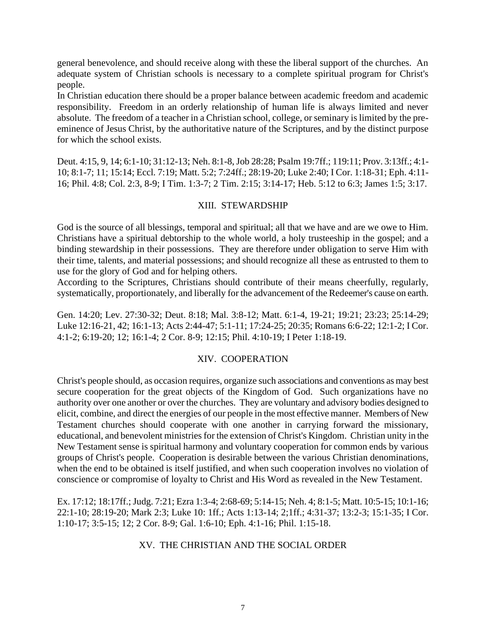general benevolence, and should receive along with these the liberal support of the churches. An adequate system of Christian schools is necessary to a complete spiritual program for Christ's people.

In Christian education there should be a proper balance between academic freedom and academic responsibility. Freedom in an orderly relationship of human life is always limited and never absolute. The freedom of a teacher in a Christian school, college, or seminary is limited by the preeminence of Jesus Christ, by the authoritative nature of the Scriptures, and by the distinct purpose for which the school exists.

Deut. 4:15, 9, 14; 6:1-10; 31:12-13; Neh. 8:1-8, Job 28:28; Psalm 19:7ff.; 119:11; Prov. 3:13ff.; 4:1- 10; 8:1-7; 11; 15:14; Eccl. 7:19; Matt. 5:2; 7:24ff.; 28:19-20; Luke 2:40; I Cor. 1:18-31; Eph. 4:11- 16; Phil. 4:8; Col. 2:3, 8-9; I Tim. 1:3-7; 2 Tim. 2:15; 3:14-17; Heb. 5:12 to 6:3; James 1:5; 3:17.

# XIII. STEWARDSHIP

God is the source of all blessings, temporal and spiritual; all that we have and are we owe to Him. Christians have a spiritual debtorship to the whole world, a holy trusteeship in the gospel; and a binding stewardship in their possessions. They are therefore under obligation to serve Him with their time, talents, and material possessions; and should recognize all these as entrusted to them to use for the glory of God and for helping others.

According to the Scriptures, Christians should contribute of their means cheerfully, regularly, systematically, proportionately, and liberally for the advancement of the Redeemer's cause on earth.

Gen. 14:20; Lev. 27:30-32; Deut. 8:18; Mal. 3:8-12; Matt. 6:1-4, 19-21; 19:21; 23:23; 25:14-29; Luke 12:16-21, 42; 16:1-13; Acts 2:44-47; 5:1-11; 17:24-25; 20:35; Romans 6:6-22; 12:1-2; I Cor. 4:1-2; 6:19-20; 12; 16:1-4; 2 Cor. 8-9; 12:15; Phil. 4:10-19; I Peter 1:18-19.

### XIV. COOPERATION

Christ's people should, as occasion requires, organize such associations and conventions as may best secure cooperation for the great objects of the Kingdom of God. Such organizations have no authority over one another or over the churches. They are voluntary and advisory bodies designed to elicit, combine, and direct the energies of our people in the most effective manner. Members of New Testament churches should cooperate with one another in carrying forward the missionary, educational, and benevolent ministries for the extension of Christ's Kingdom. Christian unity in the New Testament sense is spiritual harmony and voluntary cooperation for common ends by various groups of Christ's people. Cooperation is desirable between the various Christian denominations, when the end to be obtained is itself justified, and when such cooperation involves no violation of conscience or compromise of loyalty to Christ and His Word as revealed in the New Testament.

Ex. 17:12; 18:17ff.; Judg. 7:21; Ezra 1:3-4; 2:68-69; 5:14-15; Neh. 4; 8:1-5; Matt. 10:5-15; 10:1-16; 22:1-10; 28:19-20; Mark 2:3; Luke 10: 1ff.; Acts 1:13-14; 2;1ff.; 4:31-37; 13:2-3; 15:1-35; I Cor. 1:10-17; 3:5-15; 12; 2 Cor. 8-9; Gal. 1:6-10; Eph. 4:1-16; Phil. 1:15-18.

# XV. THE CHRISTIAN AND THE SOCIAL ORDER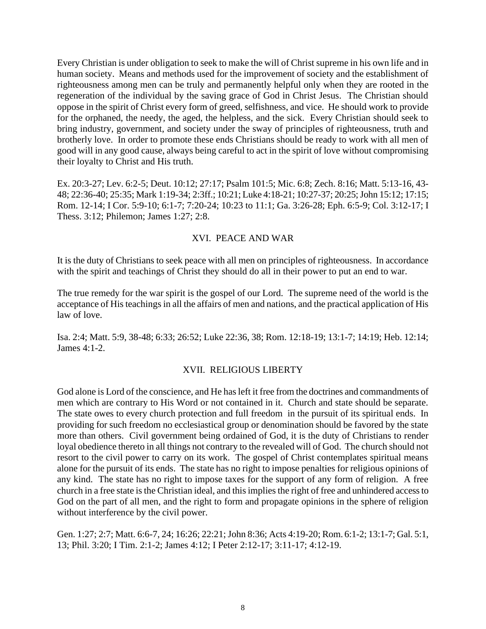Every Christian is under obligation to seek to make the will of Christ supreme in his own life and in human society. Means and methods used for the improvement of society and the establishment of righteousness among men can be truly and permanently helpful only when they are rooted in the regeneration of the individual by the saving grace of God in Christ Jesus. The Christian should oppose in the spirit of Christ every form of greed, selfishness, and vice. He should work to provide for the orphaned, the needy, the aged, the helpless, and the sick. Every Christian should seek to bring industry, government, and society under the sway of principles of righteousness, truth and brotherly love. In order to promote these ends Christians should be ready to work with all men of good will in any good cause, always being careful to act in the spirit of love without compromising their loyalty to Christ and His truth.

Ex. 20:3-27; Lev. 6:2-5; Deut. 10:12; 27:17; Psalm 101:5; Mic. 6:8; Zech. 8:16; Matt. 5:13-16, 43- 48; 22:36-40; 25:35; Mark 1:19-34; 2:3ff.; 10:21; Luke 4:18-21; 10:27-37; 20:25; John 15:12; 17:15; Rom. 12-14; I Cor. 5:9-10; 6:1-7; 7:20-24; 10:23 to 11:1; Ga. 3:26-28; Eph. 6:5-9; Col. 3:12-17; I Thess. 3:12; Philemon; James 1:27; 2:8.

# XVI. PEACE AND WAR

It is the duty of Christians to seek peace with all men on principles of righteousness. In accordance with the spirit and teachings of Christ they should do all in their power to put an end to war.

The true remedy for the war spirit is the gospel of our Lord. The supreme need of the world is the acceptance of His teachings in all the affairs of men and nations, and the practical application of His law of love.

Isa. 2:4; Matt. 5:9, 38-48; 6:33; 26:52; Luke 22:36, 38; Rom. 12:18-19; 13:1-7; 14:19; Heb. 12:14; James 4:1-2.

# XVII. RELIGIOUS LIBERTY

God alone is Lord of the conscience, and He has left it free from the doctrines and commandments of men which are contrary to His Word or not contained in it. Church and state should be separate. The state owes to every church protection and full freedom in the pursuit of its spiritual ends. In providing for such freedom no ecclesiastical group or denomination should be favored by the state more than others. Civil government being ordained of God, it is the duty of Christians to render loyal obedience thereto in all things not contrary to the revealed will of God. The church should not resort to the civil power to carry on its work. The gospel of Christ contemplates spiritual means alone for the pursuit of its ends. The state has no right to impose penalties for religious opinions of any kind. The state has no right to impose taxes for the support of any form of religion. A free church in a free state is the Christian ideal, and this implies the right of free and unhindered access to God on the part of all men, and the right to form and propagate opinions in the sphere of religion without interference by the civil power.

Gen. 1:27; 2:7; Matt. 6:6-7, 24; 16:26; 22:21; John 8:36; Acts 4:19-20; Rom. 6:1-2; 13:1-7; Gal. 5:1, 13; Phil. 3:20; I Tim. 2:1-2; James 4:12; I Peter 2:12-17; 3:11-17; 4:12-19.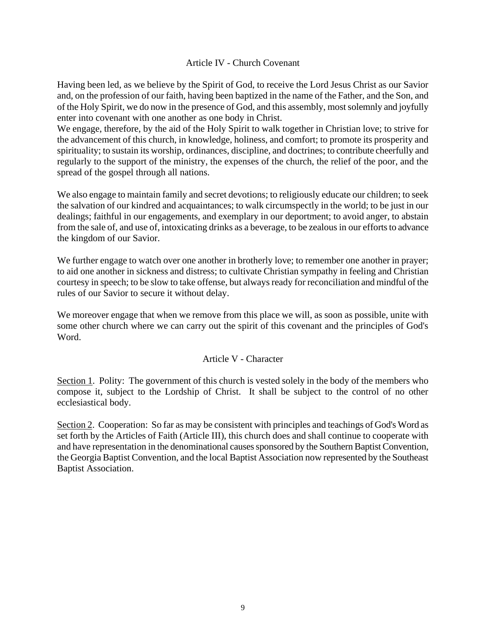# Article IV - Church Covenant

Having been led, as we believe by the Spirit of God, to receive the Lord Jesus Christ as our Savior and, on the profession of our faith, having been baptized in the name of the Father, and the Son, and of the Holy Spirit, we do now in the presence of God, and this assembly, most solemnly and joyfully enter into covenant with one another as one body in Christ.

We engage, therefore, by the aid of the Holy Spirit to walk together in Christian love; to strive for the advancement of this church, in knowledge, holiness, and comfort; to promote its prosperity and spirituality; to sustain its worship, ordinances, discipline, and doctrines; to contribute cheerfully and regularly to the support of the ministry, the expenses of the church, the relief of the poor, and the spread of the gospel through all nations.

We also engage to maintain family and secret devotions; to religiously educate our children; to seek the salvation of our kindred and acquaintances; to walk circumspectly in the world; to be just in our dealings; faithful in our engagements, and exemplary in our deportment; to avoid anger, to abstain from the sale of, and use of, intoxicating drinks as a beverage, to be zealous in our efforts to advance the kingdom of our Savior.

We further engage to watch over one another in brotherly love; to remember one another in prayer; to aid one another in sickness and distress; to cultivate Christian sympathy in feeling and Christian courtesy in speech; to be slow to take offense, but always ready for reconciliation and mindful of the rules of our Savior to secure it without delay.

We moreover engage that when we remove from this place we will, as soon as possible, unite with some other church where we can carry out the spirit of this covenant and the principles of God's Word.

# Article V - Character

Section 1. Polity: The government of this church is vested solely in the body of the members who compose it, subject to the Lordship of Christ. It shall be subject to the control of no other ecclesiastical body.

Section 2. Cooperation: So far as may be consistent with principles and teachings of God's Word as set forth by the Articles of Faith (Article III), this church does and shall continue to cooperate with and have representation in the denominational causes sponsored by the Southern Baptist Convention, the Georgia Baptist Convention, and the local Baptist Association now represented by the Southeast Baptist Association.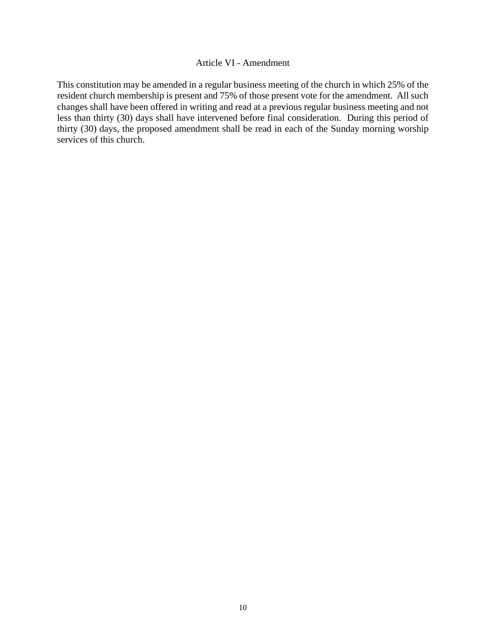# Article VI - Amendment

This constitution may be amended in a regular business meeting of the church in which 25% of the resident church membership is present and 75% of those present vote for the amendment. All such changes shall have been offered in writing and read at a previous regular business meeting and not less than thirty (30) days shall have intervened before final consideration. During this period of thirty (30) days, the proposed amendment shall be read in each of the Sunday morning worship services of this church.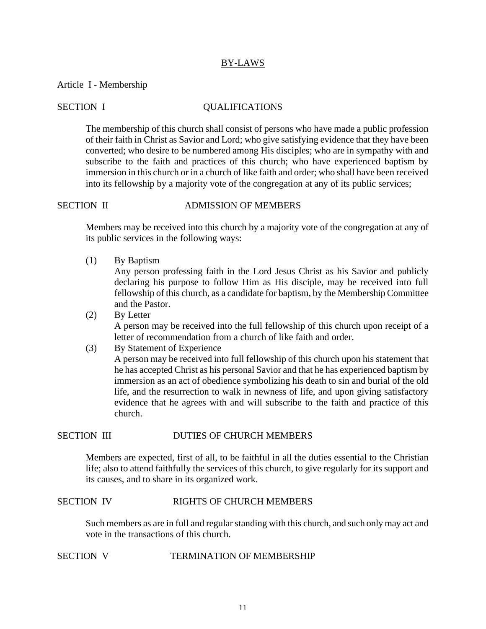# BY-LAWS

### Article I - Membership

# SECTION I QUALIFICATIONS

The membership of this church shall consist of persons who have made a public profession of their faith in Christ as Savior and Lord; who give satisfying evidence that they have been converted; who desire to be numbered among His disciples; who are in sympathy with and subscribe to the faith and practices of this church; who have experienced baptism by immersion in this church or in a church of like faith and order; who shall have been received into its fellowship by a majority vote of the congregation at any of its public services;

# SECTION II ADMISSION OF MEMBERS

Members may be received into this church by a majority vote of the congregation at any of its public services in the following ways:

(1) By Baptism

Any person professing faith in the Lord Jesus Christ as his Savior and publicly declaring his purpose to follow Him as His disciple, may be received into full fellowship of this church, as a candidate for baptism, by the Membership Committee and the Pastor.

- (2) By Letter A person may be received into the full fellowship of this church upon receipt of a letter of recommendation from a church of like faith and order.
- (3) By Statement of Experience

A person may be received into full fellowship of this church upon his statement that he has accepted Christ as his personal Savior and that he has experienced baptism by immersion as an act of obedience symbolizing his death to sin and burial of the old life, and the resurrection to walk in newness of life, and upon giving satisfactory evidence that he agrees with and will subscribe to the faith and practice of this church.

### SECTION III DUTIES OF CHURCH MEMBERS

Members are expected, first of all, to be faithful in all the duties essential to the Christian life; also to attend faithfully the services of this church, to give regularly for its support and its causes, and to share in its organized work.

### SECTION IV RIGHTS OF CHURCH MEMBERS

Such members as are in full and regular standing with this church, and such only may act and vote in the transactions of this church.

# SECTION V TERMINATION OF MEMBERSHIP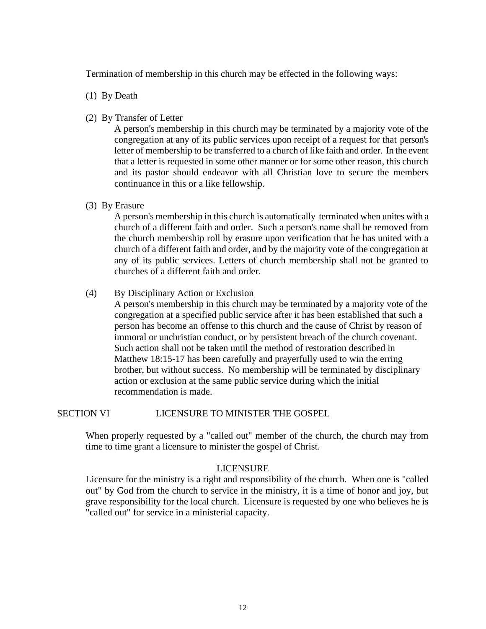Termination of membership in this church may be effected in the following ways:

- (1) By Death
- (2) By Transfer of Letter

A person's membership in this church may be terminated by a majority vote of the congregation at any of its public services upon receipt of a request for that person's letter of membership to be transferred to a church of like faith and order. In the event that a letter is requested in some other manner or for some other reason, this church and its pastor should endeavor with all Christian love to secure the members continuance in this or a like fellowship.

(3) By Erasure

A person's membership in this church is automatically terminated when unites with a church of a different faith and order. Such a person's name shall be removed from the church membership roll by erasure upon verification that he has united with a church of a different faith and order, and by the majority vote of the congregation at any of its public services. Letters of church membership shall not be granted to churches of a different faith and order.

(4) By Disciplinary Action or Exclusion

A person's membership in this church may be terminated by a majority vote of the congregation at a specified public service after it has been established that such a person has become an offense to this church and the cause of Christ by reason of immoral or unchristian conduct, or by persistent breach of the church covenant. Such action shall not be taken until the method of restoration described in Matthew 18:15-17 has been carefully and prayerfully used to win the erring brother, but without success. No membership will be terminated by disciplinary action or exclusion at the same public service during which the initial recommendation is made.

# SECTION VI LICENSURE TO MINISTER THE GOSPEL

When properly requested by a "called out" member of the church, the church may from time to time grant a licensure to minister the gospel of Christ.

### LICENSURE

Licensure for the ministry is a right and responsibility of the church. When one is "called out" by God from the church to service in the ministry, it is a time of honor and joy, but grave responsibility for the local church. Licensure is requested by one who believes he is "called out" for service in a ministerial capacity.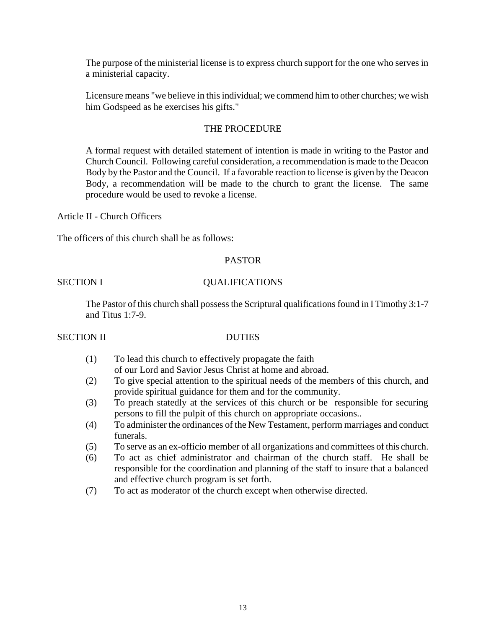The purpose of the ministerial license is to express church support for the one who serves in a ministerial capacity.

Licensure means "we believe in this individual; we commend him to other churches; we wish him Godspeed as he exercises his gifts."

# THE PROCEDURE

A formal request with detailed statement of intention is made in writing to the Pastor and Church Council. Following careful consideration, a recommendation is made to the Deacon Body by the Pastor and the Council. If a favorable reaction to license is given by the Deacon Body, a recommendation will be made to the church to grant the license. The same procedure would be used to revoke a license.

Article II - Church Officers

The officers of this church shall be as follows:

# PASTOR

# SECTION I QUALIFICATIONS

The Pastor of this church shall possess the Scriptural qualifications found in I Timothy 3:1-7 and Titus 1:7-9.

### SECTION II DUTIES

- (1) To lead this church to effectively propagate the faith of our Lord and Savior Jesus Christ at home and abroad.
- (2) To give special attention to the spiritual needs of the members of this church, and provide spiritual guidance for them and for the community.
- (3) To preach statedly at the services of this church or be responsible for securing persons to fill the pulpit of this church on appropriate occasions..
- (4) To administer the ordinances of the New Testament, perform marriages and conduct funerals.
- (5) To serve as an ex-officio member of all organizations and committees of this church.
- (6) To act as chief administrator and chairman of the church staff. He shall be responsible for the coordination and planning of the staff to insure that a balanced and effective church program is set forth.
- (7) To act as moderator of the church except when otherwise directed.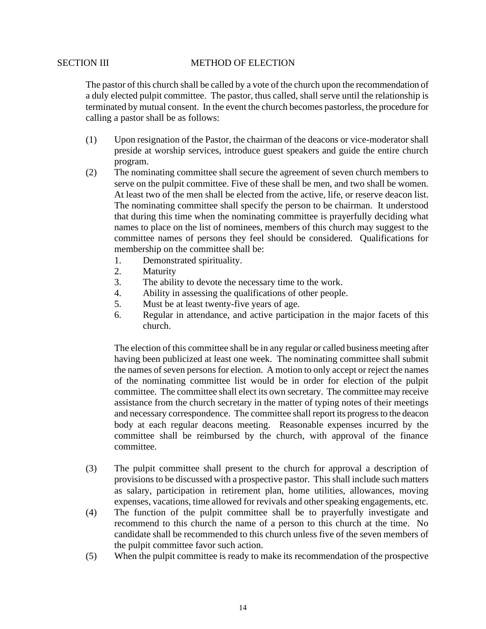# SECTION III METHOD OF ELECTION

The pastor of this church shall be called by a vote of the church upon the recommendation of a duly elected pulpit committee. The pastor, thus called, shall serve until the relationship is terminated by mutual consent. In the event the church becomes pastorless, the procedure for calling a pastor shall be as follows:

- (1) Upon resignation of the Pastor, the chairman of the deacons or vice-moderator shall preside at worship services, introduce guest speakers and guide the entire church program.
- (2) The nominating committee shall secure the agreement of seven church members to serve on the pulpit committee. Five of these shall be men, and two shall be women. At least two of the men shall be elected from the active, life, or reserve deacon list. The nominating committee shall specify the person to be chairman. It understood that during this time when the nominating committee is prayerfully deciding what names to place on the list of nominees, members of this church may suggest to the committee names of persons they feel should be considered. Qualifications for membership on the committee shall be:
	- 1. Demonstrated spirituality.
	- 2. Maturity
	- 3. The ability to devote the necessary time to the work.
	- 4. Ability in assessing the qualifications of other people.
	- 5. Must be at least twenty-five years of age.
	- 6. Regular in attendance, and active participation in the major facets of this church.

The election of this committee shall be in any regular or called business meeting after having been publicized at least one week. The nominating committee shall submit the names of seven persons for election. A motion to only accept or reject the names of the nominating committee list would be in order for election of the pulpit committee. The committee shall elect its own secretary. The committee may receive assistance from the church secretary in the matter of typing notes of their meetings and necessary correspondence. The committee shall report its progress to the deacon body at each regular deacons meeting. Reasonable expenses incurred by the committee shall be reimbursed by the church, with approval of the finance committee.

- (3) The pulpit committee shall present to the church for approval a description of provisions to be discussed with a prospective pastor. This shall include such matters as salary, participation in retirement plan, home utilities, allowances, moving expenses, vacations, time allowed for revivals and other speaking engagements, etc.
- (4) The function of the pulpit committee shall be to prayerfully investigate and recommend to this church the name of a person to this church at the time. No candidate shall be recommended to this church unless five of the seven members of the pulpit committee favor such action.
- (5) When the pulpit committee is ready to make its recommendation of the prospective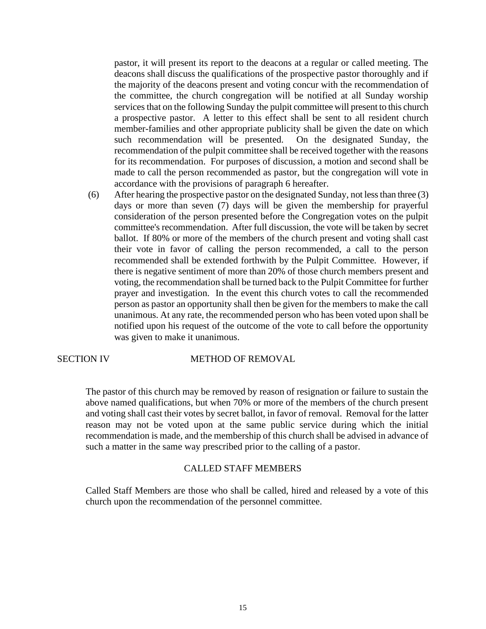pastor, it will present its report to the deacons at a regular or called meeting. The deacons shall discuss the qualifications of the prospective pastor thoroughly and if the majority of the deacons present and voting concur with the recommendation of the committee, the church congregation will be notified at all Sunday worship services that on the following Sunday the pulpit committee will present to this church a prospective pastor. A letter to this effect shall be sent to all resident church member-families and other appropriate publicity shall be given the date on which such recommendation will be presented. On the designated Sunday, the recommendation of the pulpit committee shall be received together with the reasons for its recommendation. For purposes of discussion, a motion and second shall be made to call the person recommended as pastor, but the congregation will vote in accordance with the provisions of paragraph 6 hereafter.

(6) After hearing the prospective pastor on the designated Sunday, not less than three (3) days or more than seven (7) days will be given the membership for prayerful consideration of the person presented before the Congregation votes on the pulpit committee's recommendation. After full discussion, the vote will be taken by secret ballot. If 80% or more of the members of the church present and voting shall cast their vote in favor of calling the person recommended, a call to the person recommended shall be extended forthwith by the Pulpit Committee. However, if there is negative sentiment of more than 20% of those church members present and voting, the recommendation shall be turned back to the Pulpit Committee for further prayer and investigation. In the event this church votes to call the recommended person as pastor an opportunity shall then be given for the members to make the call unanimous. At any rate, the recommended person who has been voted upon shall be notified upon his request of the outcome of the vote to call before the opportunity was given to make it unanimous.

### SECTION IV METHOD OF REMOVAL

The pastor of this church may be removed by reason of resignation or failure to sustain the above named qualifications, but when 70% or more of the members of the church present and voting shall cast their votes by secret ballot, in favor of removal. Removal for the latter reason may not be voted upon at the same public service during which the initial recommendation is made, and the membership of this church shall be advised in advance of such a matter in the same way prescribed prior to the calling of a pastor.

# CALLED STAFF MEMBERS

Called Staff Members are those who shall be called, hired and released by a vote of this church upon the recommendation of the personnel committee.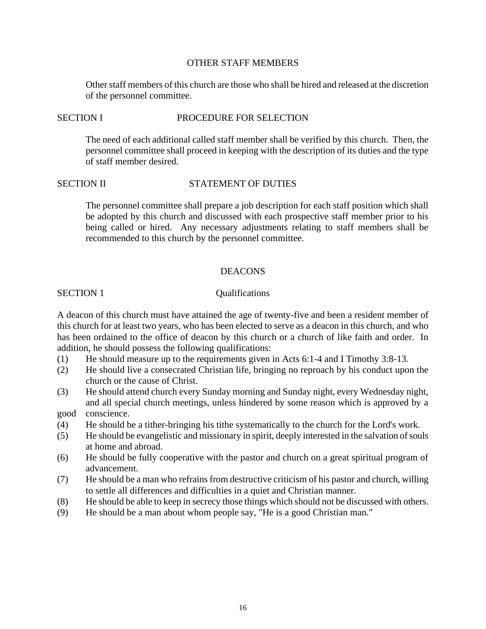### OTHER STAFF MEMBERS

Other staff members of this church are those who shall be hired and released at the discretion of the personnel committee.

# SECTION I PROCEDURE FOR SELECTION

The need of each additional called staff member shall be verified by this church. Then, the personnel committee shall proceed in keeping with the description of its duties and the type of staff member desired.

# SECTION II STATEMENT OF DUTIES

The personnel committee shall prepare a job description for each staff position which shall be adopted by this church and discussed with each prospective staff member prior to his being called or hired. Any necessary adjustments relating to staff members shall be recommended to this church by the personnel committee.

# DEACONS

# SECTION 1 Qualifications

A deacon of this church must have attained the age of twenty-five and been a resident member of this church for at least two years, who has been elected to serve as a deacon in this church, and who has been ordained to the office of deacon by this church or a church of like faith and order. In addition, he should possess the following qualifications:

- (1) He should measure up to the requirements given in Acts 6:1-4 and I Timothy 3:8-13.
- (2) He should live a consecrated Christian life, bringing no reproach by his conduct upon the church or the cause of Christ.
- (3) He should attend church every Sunday morning and Sunday night, every Wednesday night, and all special church meetings, unless hindered by some reason which is approved by a good conscience.
- (4) He should be a tither-bringing his tithe systematically to the church for the Lord's work.
- (5) He should be evangelistic and missionary in spirit, deeply interested in the salvation of souls at home and abroad.
- (6) He should be fully cooperative with the pastor and church on a great spiritual program of advancement.
- (7) He should be a man who refrains from destructive criticism of his pastor and church, willing to settle all differences and difficulties in a quiet and Christian manner.
- (8) He should be able to keep in secrecy those things which should not be discussed with others.
- (9) He should be a man about whom people say, "He is a good Christian man."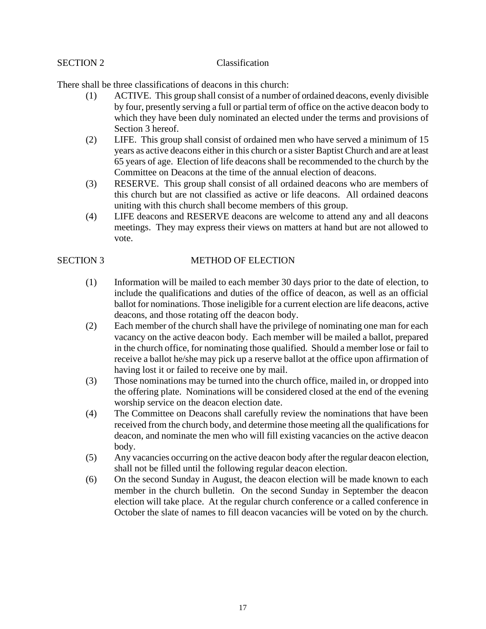# SECTION 2 Classification

There shall be three classifications of deacons in this church:

- (1) ACTIVE. This group shall consist of a number of ordained deacons, evenly divisible by four, presently serving a full or partial term of office on the active deacon body to which they have been duly nominated an elected under the terms and provisions of Section 3 hereof.
- (2) LIFE. This group shall consist of ordained men who have served a minimum of 15 years as active deacons either in this church or a sister Baptist Church and are at least 65 years of age. Election of life deacons shall be recommended to the church by the Committee on Deacons at the time of the annual election of deacons.
- (3) RESERVE. This group shall consist of all ordained deacons who are members of this church but are not classified as active or life deacons. All ordained deacons uniting with this church shall become members of this group.
- (4) LIFE deacons and RESERVE deacons are welcome to attend any and all deacons meetings. They may express their views on matters at hand but are not allowed to vote.

# SECTION 3 METHOD OF ELECTION

- (1) Information will be mailed to each member 30 days prior to the date of election, to include the qualifications and duties of the office of deacon, as well as an official ballot for nominations. Those ineligible for a current election are life deacons, active deacons, and those rotating off the deacon body.
- (2) Each member of the church shall have the privilege of nominating one man for each vacancy on the active deacon body. Each member will be mailed a ballot, prepared in the church office, for nominating those qualified. Should a member lose or fail to receive a ballot he/she may pick up a reserve ballot at the office upon affirmation of having lost it or failed to receive one by mail.
- (3) Those nominations may be turned into the church office, mailed in, or dropped into the offering plate. Nominations will be considered closed at the end of the evening worship service on the deacon election date.
- (4) The Committee on Deacons shall carefully review the nominations that have been received from the church body, and determine those meeting all the qualifications for deacon, and nominate the men who will fill existing vacancies on the active deacon body.
- (5) Any vacancies occurring on the active deacon body after the regular deacon election, shall not be filled until the following regular deacon election.
- (6) On the second Sunday in August, the deacon election will be made known to each member in the church bulletin. On the second Sunday in September the deacon election will take place. At the regular church conference or a called conference in October the slate of names to fill deacon vacancies will be voted on by the church.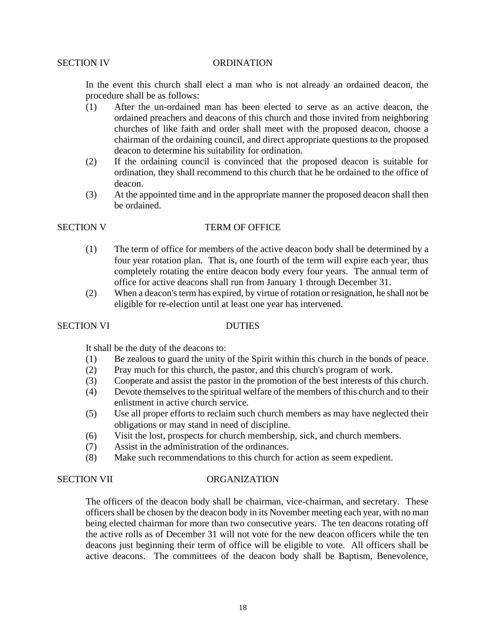### SECTION IV ORDINATION

In the event this church shall elect a man who is not already an ordained deacon, the procedure shall be as follows:

- (1) After the un-ordained man has been elected to serve as an active deacon, the ordained preachers and deacons of this church and those invited from neighboring churches of like faith and order shall meet with the proposed deacon, choose a chairman of the ordaining council, and direct appropriate questions to the proposed deacon to determine his suitability for ordination.
- (2) If the ordaining council is convinced that the proposed deacon is suitable for ordination, they shall recommend to this church that he be ordained to the office of deacon.
- (3) At the appointed time and in the appropriate manner the proposed deacon shall then be ordained.

# SECTION V TERM OF OFFICE

- (1) The term of office for members of the active deacon body shall be determined by a four year rotation plan. That is, one fourth of the term will expire each year, thus completely rotating the entire deacon body every four years. The annual term of office for active deacons shall run from January 1 through December 31.
- (2) When a deacon's term has expired, by virtue of rotation or resignation, he shall not be eligible for re-election until at least one year has intervened.

### SECTION VI DUTIES

It shall be the duty of the deacons to:

- (1) Be zealous to guard the unity of the Spirit within this church in the bonds of peace.
- (2) Pray much for this church, the pastor, and this church's program of work.
- (3) Cooperate and assist the pastor in the promotion of the best interests of this church.
- (4) Devote themselves to the spiritual welfare of the members of this church and to their enlistment in active church service.
- (5) Use all proper efforts to reclaim such church members as may have neglected their obligations or may stand in need of discipline.
- (6) Visit the lost, prospects for church membership, sick, and church members.
- (7) Assist in the administration of the ordinances.
- (8) Make such recommendations to this church for action as seem expedient.

# SECTION VII ORGANIZATION

The officers of the deacon body shall be chairman, vice-chairman, and secretary. These officers shall be chosen by the deacon body in its November meeting each year, with no man being elected chairman for more than two consecutive years. The ten deacons rotating off the active rolls as of December 31 will not vote for the new deacon officers while the ten deacons just beginning their term of office will be eligible to vote. All officers shall be active deacons. The committees of the deacon body shall be Baptism, Benevolence,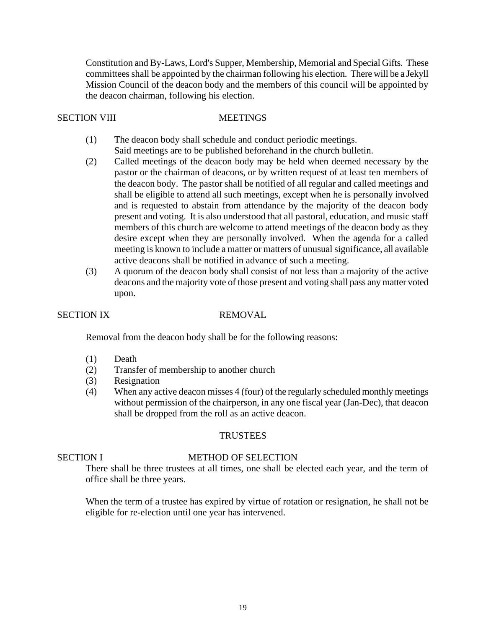Constitution and By-Laws, Lord's Supper, Membership, Memorial and Special Gifts. These committees shall be appointed by the chairman following his election. There will be a Jekyll Mission Council of the deacon body and the members of this council will be appointed by the deacon chairman, following his election.

# SECTION VIII MEETINGS

- (1) The deacon body shall schedule and conduct periodic meetings. Said meetings are to be published beforehand in the church bulletin.
- (2) Called meetings of the deacon body may be held when deemed necessary by the pastor or the chairman of deacons, or by written request of at least ten members of the deacon body. The pastor shall be notified of all regular and called meetings and shall be eligible to attend all such meetings, except when he is personally involved and is requested to abstain from attendance by the majority of the deacon body present and voting. It is also understood that all pastoral, education, and music staff members of this church are welcome to attend meetings of the deacon body as they desire except when they are personally involved. When the agenda for a called meeting is known to include a matter or matters of unusual significance, all available active deacons shall be notified in advance of such a meeting.
- (3) A quorum of the deacon body shall consist of not less than a majority of the active deacons and the majority vote of those present and voting shall pass any matter voted upon.

# SECTION IX REMOVAL

Removal from the deacon body shall be for the following reasons:

- (1) Death
- (2) Transfer of membership to another church
- (3) Resignation
- (4) When any active deacon misses 4 (four) of the regularly scheduled monthly meetings without permission of the chairperson, in any one fiscal year (Jan-Dec), that deacon shall be dropped from the roll as an active deacon.

### **TRUSTEES**

# SECTION I METHOD OF SELECTION

There shall be three trustees at all times, one shall be elected each year, and the term of office shall be three years.

When the term of a trustee has expired by virtue of rotation or resignation, he shall not be eligible for re-election until one year has intervened.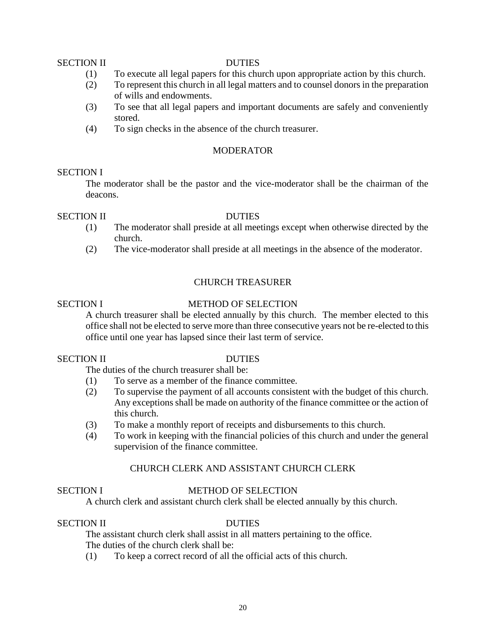# SECTION II DUTIES

- (1) To execute all legal papers for this church upon appropriate action by this church.
- (2) To represent this church in all legal matters and to counsel donors in the preparation of wills and endowments.
- (3) To see that all legal papers and important documents are safely and conveniently stored.
- (4) To sign checks in the absence of the church treasurer.

# **MODERATOR**

### SECTION I

The moderator shall be the pastor and the vice-moderator shall be the chairman of the deacons.

### SECTION II DUTIES

- (1) The moderator shall preside at all meetings except when otherwise directed by the church.
- (2) The vice-moderator shall preside at all meetings in the absence of the moderator.

# CHURCH TREASURER

### SECTION I METHOD OF SELECTION

A church treasurer shall be elected annually by this church. The member elected to this office shall not be elected to serve more than three consecutive years not be re-elected to this office until one year has lapsed since their last term of service.

### SECTION II DUTIES

The duties of the church treasurer shall be:

- (1) To serve as a member of the finance committee.
- (2) To supervise the payment of all accounts consistent with the budget of this church. Any exceptions shall be made on authority of the finance committee or the action of this church.
- (3) To make a monthly report of receipts and disbursements to this church.
- (4) To work in keeping with the financial policies of this church and under the general supervision of the finance committee.

# CHURCH CLERK AND ASSISTANT CHURCH CLERK

## SECTION I METHOD OF SELECTION

A church clerk and assistant church clerk shall be elected annually by this church.

### SECTION II DUTIES

The assistant church clerk shall assist in all matters pertaining to the office. The duties of the church clerk shall be:

(1) To keep a correct record of all the official acts of this church.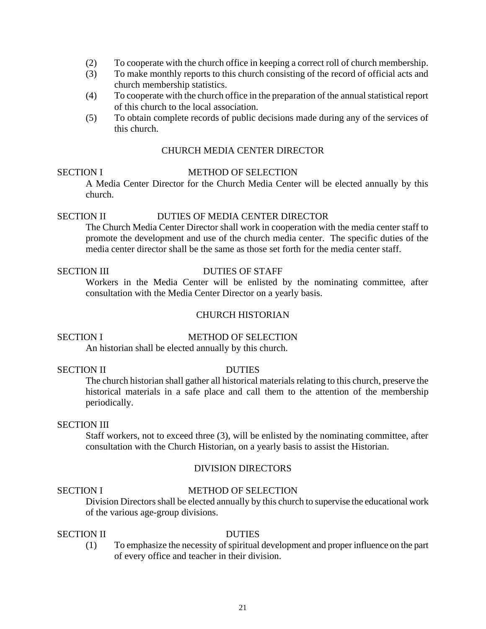- (2) To cooperate with the church office in keeping a correct roll of church membership.
- (3) To make monthly reports to this church consisting of the record of official acts and church membership statistics.
- (4) To cooperate with the church office in the preparation of the annual statistical report of this church to the local association.
- (5) To obtain complete records of public decisions made during any of the services of this church.

# CHURCH MEDIA CENTER DIRECTOR

### SECTION I METHOD OF SELECTION

A Media Center Director for the Church Media Center will be elected annually by this church.

### SECTION II DUTIES OF MEDIA CENTER DIRECTOR

The Church Media Center Director shall work in cooperation with the media center staff to promote the development and use of the church media center. The specific duties of the media center director shall be the same as those set forth for the media center staff.

# SECTION III DUTIES OF STAFF

Workers in the Media Center will be enlisted by the nominating committee, after consultation with the Media Center Director on a yearly basis.

## CHURCH HISTORIAN

# SECTION I METHOD OF SELECTION

An historian shall be elected annually by this church.

### SECTION II DUTIES

The church historian shall gather all historical materials relating to this church, preserve the historical materials in a safe place and call them to the attention of the membership periodically.

# SECTION III

Staff workers, not to exceed three (3), will be enlisted by the nominating committee, after consultation with the Church Historian, on a yearly basis to assist the Historian.

# DIVISION DIRECTORS

## SECTION I METHOD OF SELECTION

Division Directors shall be elected annually by this church to supervise the educational work of the various age-group divisions.

# SECTION II DUTIES

(1) To emphasize the necessity of spiritual development and proper influence on the part of every office and teacher in their division.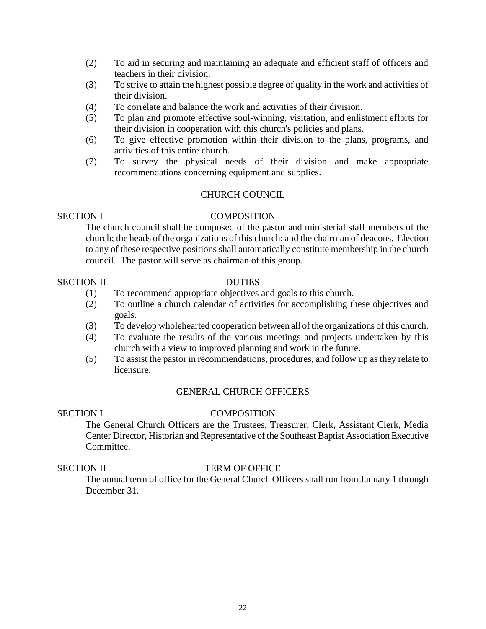- (2) To aid in securing and maintaining an adequate and efficient staff of officers and teachers in their division.
- (3) To strive to attain the highest possible degree of quality in the work and activities of their division.
- (4) To correlate and balance the work and activities of their division.
- (5) To plan and promote effective soul-winning, visitation, and enlistment efforts for their division in cooperation with this church's policies and plans.
- (6) To give effective promotion within their division to the plans, programs, and activities of this entire church.
- (7) To survey the physical needs of their division and make appropriate recommendations concerning equipment and supplies.

# CHURCH COUNCIL

### SECTION I COMPOSITION

The church council shall be composed of the pastor and ministerial staff members of the church; the heads of the organizations of this church; and the chairman of deacons. Election to any of these respective positions shall automatically constitute membership in the church council. The pastor will serve as chairman of this group.

### SECTION II DUTIES

- (1) To recommend appropriate objectives and goals to this church.
- (2) To outline a church calendar of activities for accomplishing these objectives and goals.
- (3) To develop wholehearted cooperation between all of the organizations of this church.
- (4) To evaluate the results of the various meetings and projects undertaken by this church with a view to improved planning and work in the future.
- (5) To assist the pastor in recommendations, procedures, and follow up as they relate to licensure.

### GENERAL CHURCH OFFICERS

### SECTION I COMPOSITION

The General Church Officers are the Trustees, Treasurer, Clerk, Assistant Clerk, Media Center Director, Historian and Representative of the Southeast Baptist Association Executive Committee.

# SECTION II TERM OF OFFICE

The annual term of office for the General Church Officers shall run from January 1 through December 31.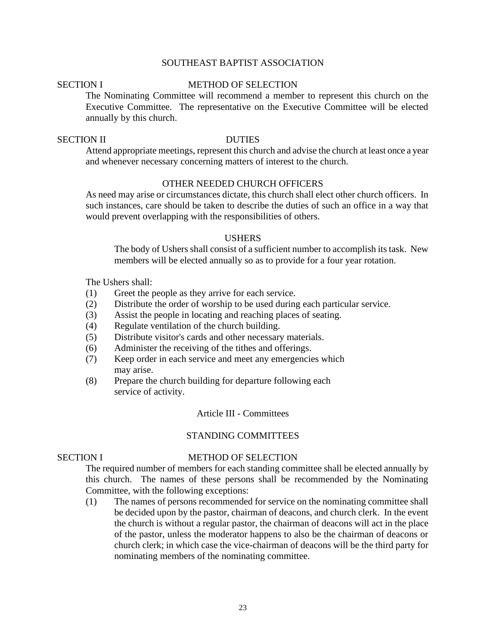### SOUTHEAST BAPTIST ASSOCIATION

# SECTION I METHOD OF SELECTION

The Nominating Committee will recommend a member to represent this church on the Executive Committee. The representative on the Executive Committee will be elected annually by this church.

# SECTION II DUTIES

Attend appropriate meetings, represent this church and advise the church at least once a year and whenever necessary concerning matters of interest to the church.

# OTHER NEEDED CHURCH OFFICERS

As need may arise or circumstances dictate, this church shall elect other church officers. In such instances, care should be taken to describe the duties of such an office in a way that would prevent overlapping with the responsibilities of others.

### **USHERS**

The body of Ushers shall consist of a sufficient number to accomplish its task. New members will be elected annually so as to provide for a four year rotation.

The Ushers shall:

- (1) Greet the people as they arrive for each service.
- (2) Distribute the order of worship to be used during each particular service.
- (3) Assist the people in locating and reaching places of seating.
- (4) Regulate ventilation of the church building.
- (5) Distribute visitor's cards and other necessary materials.
- (6) Administer the receiving of the tithes and offerings.
- (7) Keep order in each service and meet any emergencies which may arise.
- (8) Prepare the church building for departure following each service of activity.

### Article III - Committees

### STANDING COMMITTEES

### SECTION I METHOD OF SELECTION

The required number of members for each standing committee shall be elected annually by this church. The names of these persons shall be recommended by the Nominating Committee, with the following exceptions:

(1) The names of persons recommended for service on the nominating committee shall be decided upon by the pastor, chairman of deacons, and church clerk. In the event the church is without a regular pastor, the chairman of deacons will act in the place of the pastor, unless the moderator happens to also be the chairman of deacons or church clerk; in which case the vice-chairman of deacons will be the third party for nominating members of the nominating committee.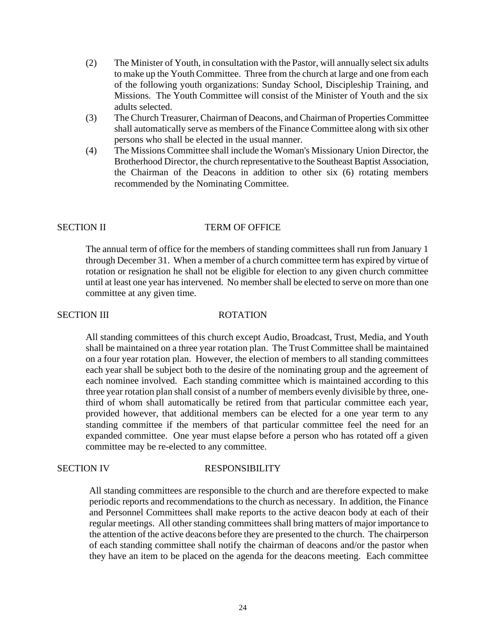- (2) The Minister of Youth, in consultation with the Pastor, will annually select six adults to make up the Youth Committee. Three from the church at large and one from each of the following youth organizations: Sunday School, Discipleship Training, and Missions. The Youth Committee will consist of the Minister of Youth and the six adults selected.
- (3) The Church Treasurer, Chairman of Deacons, and Chairman of Properties Committee shall automatically serve as members of the Finance Committee along with six other persons who shall be elected in the usual manner.
- (4) The Missions Committee shall include the Woman's Missionary Union Director, the Brotherhood Director, the church representative to the Southeast Baptist Association, the Chairman of the Deacons in addition to other six (6) rotating members recommended by the Nominating Committee.

# SECTION II TERM OF OFFICE

The annual term of office for the members of standing committees shall run from January 1 through December 31. When a member of a church committee term has expired by virtue of rotation or resignation he shall not be eligible for election to any given church committee until at least one year has intervened. No member shall be elected to serve on more than one committee at any given time.

## SECTION III ROTATION

All standing committees of this church except Audio, Broadcast, Trust, Media, and Youth shall be maintained on a three year rotation plan. The Trust Committee shall be maintained on a four year rotation plan. However, the election of members to all standing committees each year shall be subject both to the desire of the nominating group and the agreement of each nominee involved. Each standing committee which is maintained according to this three year rotation plan shall consist of a number of members evenly divisible by three, onethird of whom shall automatically be retired from that particular committee each year, provided however, that additional members can be elected for a one year term to any standing committee if the members of that particular committee feel the need for an expanded committee. One year must elapse before a person who has rotated off a given committee may be re-elected to any committee.

# SECTION IV RESPONSIBILITY

All standing committees are responsible to the church and are therefore expected to make periodic reports and recommendations to the church as necessary. In addition, the Finance and Personnel Committees shall make reports to the active deacon body at each of their regular meetings. All other standing committees shall bring matters of major importance to the attention of the active deacons before they are presented to the church. The chairperson of each standing committee shall notify the chairman of deacons and/or the pastor when they have an item to be placed on the agenda for the deacons meeting. Each committee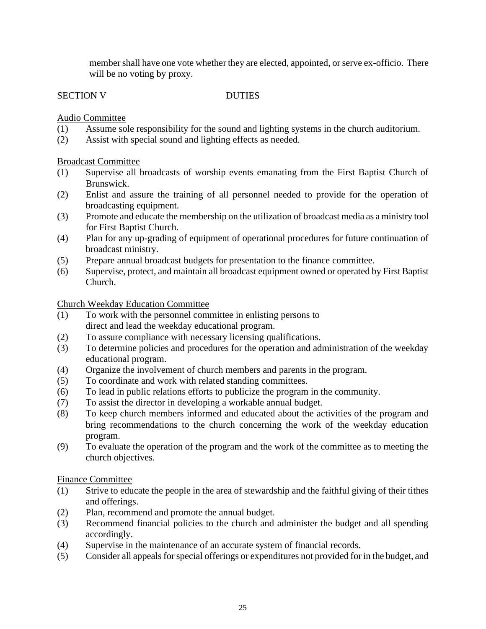member shall have one vote whether they are elected, appointed, or serve ex-officio. There will be no voting by proxy.

# SECTION V DUTIES

# Audio Committee

- (1) Assume sole responsibility for the sound and lighting systems in the church auditorium.
- (2) Assist with special sound and lighting effects as needed.

# Broadcast Committee

- (1) Supervise all broadcasts of worship events emanating from the First Baptist Church of Brunswick.
- (2) Enlist and assure the training of all personnel needed to provide for the operation of broadcasting equipment.
- (3) Promote and educate the membership on the utilization of broadcast media as a ministry tool for First Baptist Church.
- (4) Plan for any up-grading of equipment of operational procedures for future continuation of broadcast ministry.
- (5) Prepare annual broadcast budgets for presentation to the finance committee.
- (6) Supervise, protect, and maintain all broadcast equipment owned or operated by First Baptist Church.

Church Weekday Education Committee

- (1) To work with the personnel committee in enlisting persons to direct and lead the weekday educational program.
- (2) To assure compliance with necessary licensing qualifications.
- (3) To determine policies and procedures for the operation and administration of the weekday educational program.
- (4) Organize the involvement of church members and parents in the program.
- (5) To coordinate and work with related standing committees.
- (6) To lead in public relations efforts to publicize the program in the community.
- (7) To assist the director in developing a workable annual budget.
- (8) To keep church members informed and educated about the activities of the program and bring recommendations to the church concerning the work of the weekday education program.
- (9) To evaluate the operation of the program and the work of the committee as to meeting the church objectives.

# Finance Committee

- (1) Strive to educate the people in the area of stewardship and the faithful giving of their tithes and offerings.
- (2) Plan, recommend and promote the annual budget.
- (3) Recommend financial policies to the church and administer the budget and all spending accordingly.
- (4) Supervise in the maintenance of an accurate system of financial records.
- (5) Consider all appeals for special offerings or expenditures not provided for in the budget, and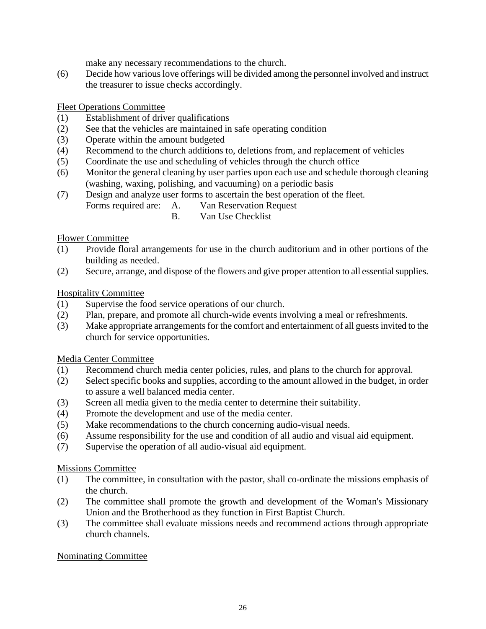make any necessary recommendations to the church.

(6) Decide how various love offerings will be divided among the personnel involved and instruct the treasurer to issue checks accordingly.

# Fleet Operations Committee

- (1) Establishment of driver qualifications
- (2) See that the vehicles are maintained in safe operating condition
- (3) Operate within the amount budgeted
- (4) Recommend to the church additions to, deletions from, and replacement of vehicles
- (5) Coordinate the use and scheduling of vehicles through the church office
- (6) Monitor the general cleaning by user parties upon each use and schedule thorough cleaning (washing, waxing, polishing, and vacuuming) on a periodic basis
- (7) Design and analyze user forms to ascertain the best operation of the fleet. Forms required are: A. Van Reservation Request
	- B. Van Use Checklist

# Flower Committee

- (1) Provide floral arrangements for use in the church auditorium and in other portions of the building as needed.
- (2) Secure, arrange, and dispose of the flowers and give proper attention to all essential supplies.

# Hospitality Committee

- (1) Supervise the food service operations of our church.
- (2) Plan, prepare, and promote all church-wide events involving a meal or refreshments.
- (3) Make appropriate arrangements for the comfort and entertainment of all guests invited to the church for service opportunities.

# Media Center Committee

- (1) Recommend church media center policies, rules, and plans to the church for approval.
- (2) Select specific books and supplies, according to the amount allowed in the budget, in order to assure a well balanced media center.
- (3) Screen all media given to the media center to determine their suitability.
- (4) Promote the development and use of the media center.
- (5) Make recommendations to the church concerning audio-visual needs.
- (6) Assume responsibility for the use and condition of all audio and visual aid equipment.
- (7) Supervise the operation of all audio-visual aid equipment.

# Missions Committee

- (1) The committee, in consultation with the pastor, shall co-ordinate the missions emphasis of the church.
- (2) The committee shall promote the growth and development of the Woman's Missionary Union and the Brotherhood as they function in First Baptist Church.
- (3) The committee shall evaluate missions needs and recommend actions through appropriate church channels.

# Nominating Committee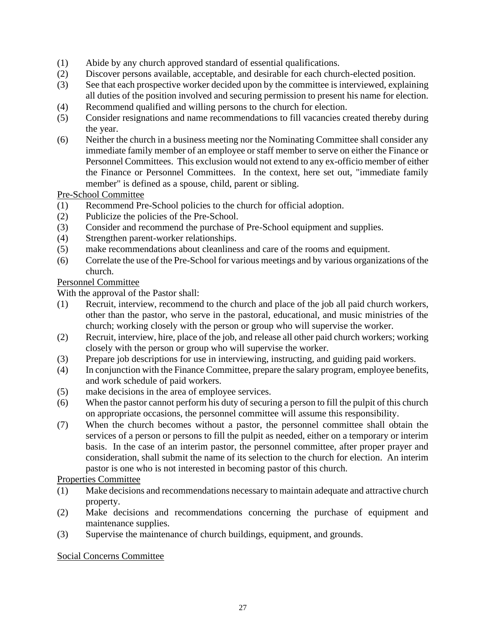- (1) Abide by any church approved standard of essential qualifications.
- (2) Discover persons available, acceptable, and desirable for each church-elected position.
- (3) See that each prospective worker decided upon by the committee is interviewed, explaining all duties of the position involved and securing permission to present his name for election.
- (4) Recommend qualified and willing persons to the church for election.
- (5) Consider resignations and name recommendations to fill vacancies created thereby during the year.
- (6) Neither the church in a business meeting nor the Nominating Committee shall consider any immediate family member of an employee or staff member to serve on either the Finance or Personnel Committees. This exclusion would not extend to any ex-officio member of either the Finance or Personnel Committees. In the context, here set out, "immediate family member" is defined as a spouse, child, parent or sibling.

Pre-School Committee

- (1) Recommend Pre-School policies to the church for official adoption.
- (2) Publicize the policies of the Pre-School.
- (3) Consider and recommend the purchase of Pre-School equipment and supplies.
- (4) Strengthen parent-worker relationships.
- (5) make recommendations about cleanliness and care of the rooms and equipment.
- (6) Correlate the use of the Pre-School for various meetings and by various organizations of the church.

# Personnel Committee

With the approval of the Pastor shall:

- (1) Recruit, interview, recommend to the church and place of the job all paid church workers, other than the pastor, who serve in the pastoral, educational, and music ministries of the church; working closely with the person or group who will supervise the worker.
- (2) Recruit, interview, hire, place of the job, and release all other paid church workers; working closely with the person or group who will supervise the worker.
- (3) Prepare job descriptions for use in interviewing, instructing, and guiding paid workers.
- (4) In conjunction with the Finance Committee, prepare the salary program, employee benefits, and work schedule of paid workers.
- (5) make decisions in the area of employee services.
- (6) When the pastor cannot perform his duty of securing a person to fill the pulpit of this church on appropriate occasions, the personnel committee will assume this responsibility.
- (7) When the church becomes without a pastor, the personnel committee shall obtain the services of a person or persons to fill the pulpit as needed, either on a temporary or interim basis. In the case of an interim pastor, the personnel committee, after proper prayer and consideration, shall submit the name of its selection to the church for election. An interim pastor is one who is not interested in becoming pastor of this church.

# Properties Committee

- (1) Make decisions and recommendations necessary to maintain adequate and attractive church property.
- (2) Make decisions and recommendations concerning the purchase of equipment and maintenance supplies.
- (3) Supervise the maintenance of church buildings, equipment, and grounds.

# Social Concerns Committee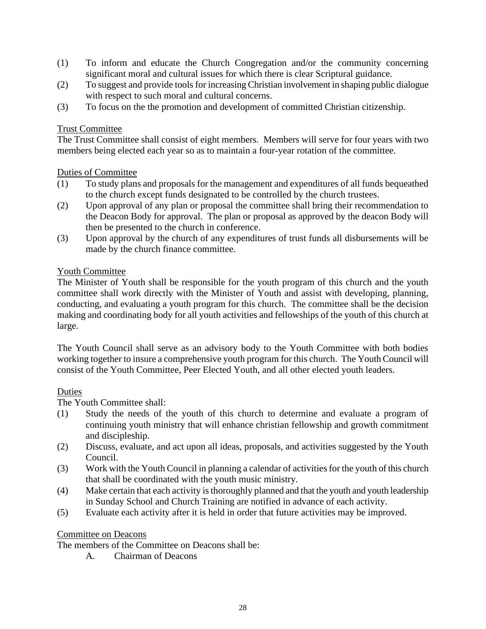- (1) To inform and educate the Church Congregation and/or the community concerning significant moral and cultural issues for which there is clear Scriptural guidance.
- (2) To suggest and provide tools for increasing Christian involvement in shaping public dialogue with respect to such moral and cultural concerns.
- (3) To focus on the the promotion and development of committed Christian citizenship.

# Trust Committee

The Trust Committee shall consist of eight members. Members will serve for four years with two members being elected each year so as to maintain a four-year rotation of the committee.

# Duties of Committee

- (1) To study plans and proposals for the management and expenditures of all funds bequeathed to the church except funds designated to be controlled by the church trustees.
- (2) Upon approval of any plan or proposal the committee shall bring their recommendation to the Deacon Body for approval. The plan or proposal as approved by the deacon Body will then be presented to the church in conference.
- (3) Upon approval by the church of any expenditures of trust funds all disbursements will be made by the church finance committee.

# Youth Committee

The Minister of Youth shall be responsible for the youth program of this church and the youth committee shall work directly with the Minister of Youth and assist with developing, planning, conducting, and evaluating a youth program for this church. The committee shall be the decision making and coordinating body for all youth activities and fellowships of the youth of this church at large.

The Youth Council shall serve as an advisory body to the Youth Committee with both bodies working together to insure a comprehensive youth program for this church. The Youth Council will consist of the Youth Committee, Peer Elected Youth, and all other elected youth leaders.

# Duties

The Youth Committee shall:

- (1) Study the needs of the youth of this church to determine and evaluate a program of continuing youth ministry that will enhance christian fellowship and growth commitment and discipleship.
- (2) Discuss, evaluate, and act upon all ideas, proposals, and activities suggested by the Youth Council.
- (3) Work with the Youth Council in planning a calendar of activities for the youth of this church that shall be coordinated with the youth music ministry.
- (4) Make certain that each activity is thoroughly planned and that the youth and youth leadership in Sunday School and Church Training are notified in advance of each activity.
- (5) Evaluate each activity after it is held in order that future activities may be improved.

# Committee on Deacons

The members of the Committee on Deacons shall be:

A. Chairman of Deacons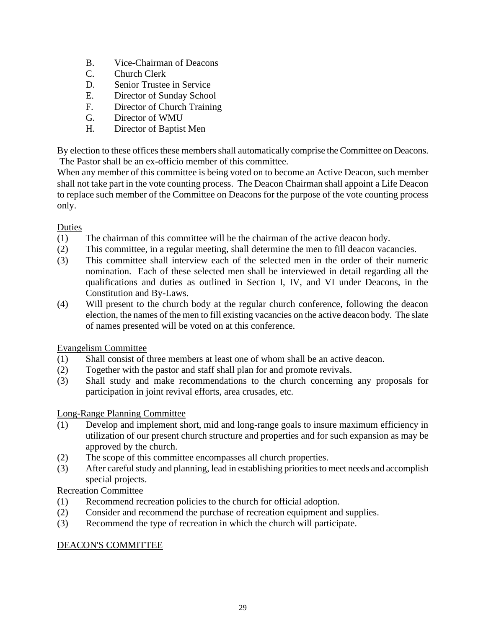- B. Vice-Chairman of Deacons
- C. Church Clerk
- D. Senior Trustee in Service
- E. Director of Sunday School
- F. Director of Church Training
- G. Director of WMU
- H. Director of Baptist Men

By election to these offices these members shall automatically comprise the Committee on Deacons. The Pastor shall be an ex-officio member of this committee.

When any member of this committee is being voted on to become an Active Deacon, such member shall not take part in the vote counting process. The Deacon Chairman shall appoint a Life Deacon to replace such member of the Committee on Deacons for the purpose of the vote counting process only.

# Duties

- (1) The chairman of this committee will be the chairman of the active deacon body.
- (2) This committee, in a regular meeting, shall determine the men to fill deacon vacancies.
- (3) This committee shall interview each of the selected men in the order of their numeric nomination. Each of these selected men shall be interviewed in detail regarding all the qualifications and duties as outlined in Section I, IV, and VI under Deacons, in the Constitution and By-Laws.
- (4) Will present to the church body at the regular church conference, following the deacon election, the names of the men to fill existing vacancies on the active deacon body. The slate of names presented will be voted on at this conference.

# Evangelism Committee

- (1) Shall consist of three members at least one of whom shall be an active deacon.
- (2) Together with the pastor and staff shall plan for and promote revivals.
- (3) Shall study and make recommendations to the church concerning any proposals for participation in joint revival efforts, area crusades, etc.

# Long-Range Planning Committee

- (1) Develop and implement short, mid and long-range goals to insure maximum efficiency in utilization of our present church structure and properties and for such expansion as may be approved by the church.
- (2) The scope of this committee encompasses all church properties.
- (3) After careful study and planning, lead in establishing priorities to meet needs and accomplish special projects.

# Recreation Committee

- (1) Recommend recreation policies to the church for official adoption.
- (2) Consider and recommend the purchase of recreation equipment and supplies.
- (3) Recommend the type of recreation in which the church will participate.

# DEACON'S COMMITTEE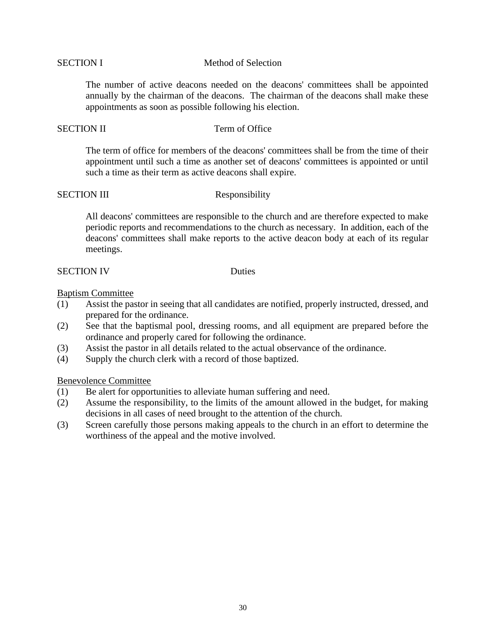# SECTION I Method of Selection

The number of active deacons needed on the deacons' committees shall be appointed annually by the chairman of the deacons. The chairman of the deacons shall make these appointments as soon as possible following his election.

# SECTION II Term of Office

The term of office for members of the deacons' committees shall be from the time of their appointment until such a time as another set of deacons' committees is appointed or until such a time as their term as active deacons shall expire.

# SECTION III Responsibility

All deacons' committees are responsible to the church and are therefore expected to make periodic reports and recommendations to the church as necessary. In addition, each of the deacons' committees shall make reports to the active deacon body at each of its regular meetings.

# SECTION IV Duties

# Baptism Committee

- (1) Assist the pastor in seeing that all candidates are notified, properly instructed, dressed, and prepared for the ordinance.
- (2) See that the baptismal pool, dressing rooms, and all equipment are prepared before the ordinance and properly cared for following the ordinance.
- (3) Assist the pastor in all details related to the actual observance of the ordinance.
- (4) Supply the church clerk with a record of those baptized.

# Benevolence Committee

- (1) Be alert for opportunities to alleviate human suffering and need.
- (2) Assume the responsibility, to the limits of the amount allowed in the budget, for making decisions in all cases of need brought to the attention of the church.
- (3) Screen carefully those persons making appeals to the church in an effort to determine the worthiness of the appeal and the motive involved.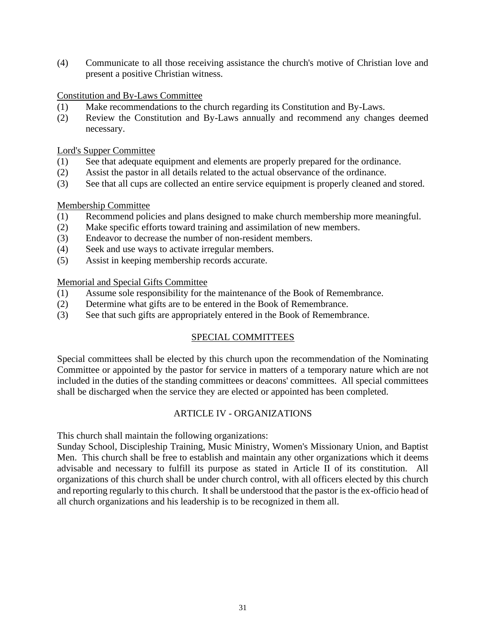(4) Communicate to all those receiving assistance the church's motive of Christian love and present a positive Christian witness.

# Constitution and By-Laws Committee

- (1) Make recommendations to the church regarding its Constitution and By-Laws.
- (2) Review the Constitution and By-Laws annually and recommend any changes deemed necessary.

# Lord's Supper Committee

- (1) See that adequate equipment and elements are properly prepared for the ordinance.
- (2) Assist the pastor in all details related to the actual observance of the ordinance.
- (3) See that all cups are collected an entire service equipment is properly cleaned and stored.

# Membership Committee

- (1) Recommend policies and plans designed to make church membership more meaningful.
- (2) Make specific efforts toward training and assimilation of new members.
- (3) Endeavor to decrease the number of non-resident members.
- (4) Seek and use ways to activate irregular members.
- (5) Assist in keeping membership records accurate.

# Memorial and Special Gifts Committee

- (1) Assume sole responsibility for the maintenance of the Book of Remembrance.
- (2) Determine what gifts are to be entered in the Book of Remembrance.
- (3) See that such gifts are appropriately entered in the Book of Remembrance.

# SPECIAL COMMITTEES

Special committees shall be elected by this church upon the recommendation of the Nominating Committee or appointed by the pastor for service in matters of a temporary nature which are not included in the duties of the standing committees or deacons' committees. All special committees shall be discharged when the service they are elected or appointed has been completed.

# ARTICLE IV - ORGANIZATIONS

This church shall maintain the following organizations:

Sunday School, Discipleship Training, Music Ministry, Women's Missionary Union, and Baptist Men. This church shall be free to establish and maintain any other organizations which it deems advisable and necessary to fulfill its purpose as stated in Article II of its constitution. All organizations of this church shall be under church control, with all officers elected by this church and reporting regularly to this church. It shall be understood that the pastor is the ex-officio head of all church organizations and his leadership is to be recognized in them all.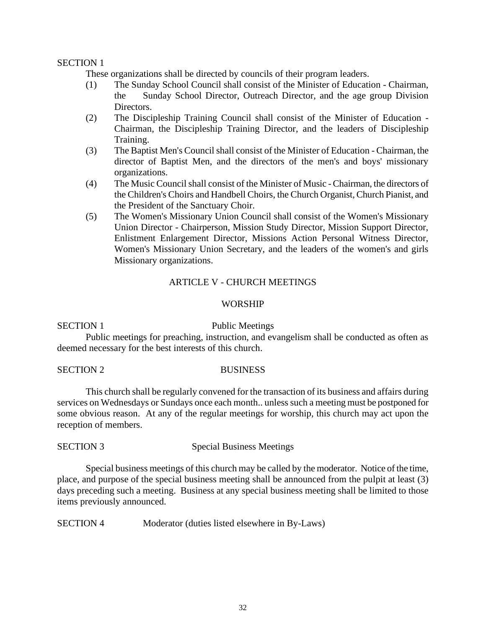## SECTION 1

These organizations shall be directed by councils of their program leaders.

- (1) The Sunday School Council shall consist of the Minister of Education Chairman, the Sunday School Director, Outreach Director, and the age group Division Directors.
- (2) The Discipleship Training Council shall consist of the Minister of Education Chairman, the Discipleship Training Director, and the leaders of Discipleship Training.
- (3) The Baptist Men's Council shall consist of the Minister of Education Chairman, the director of Baptist Men, and the directors of the men's and boys' missionary organizations.
- (4) The Music Council shall consist of the Minister of Music Chairman, the directors of the Children's Choirs and Handbell Choirs, the Church Organist, Church Pianist, and the President of the Sanctuary Choir.
- (5) The Women's Missionary Union Council shall consist of the Women's Missionary Union Director - Chairperson, Mission Study Director, Mission Support Director, Enlistment Enlargement Director, Missions Action Personal Witness Director, Women's Missionary Union Secretary, and the leaders of the women's and girls Missionary organizations.

# ARTICLE V - CHURCH MEETINGS

# WORSHIP

SECTION 1 Public Meetings Public meetings for preaching, instruction, and evangelism shall be conducted as often as deemed necessary for the best interests of this church.

# SECTION 2 BUSINESS

This church shall be regularly convened for the transaction of its business and affairs during services on Wednesdays or Sundays once each month.. unless such a meeting must be postponed for some obvious reason. At any of the regular meetings for worship, this church may act upon the reception of members.

# SECTION 3 Special Business Meetings

Special business meetings of this church may be called by the moderator. Notice of the time, place, and purpose of the special business meeting shall be announced from the pulpit at least (3) days preceding such a meeting. Business at any special business meeting shall be limited to those items previously announced.

SECTION 4 Moderator (duties listed elsewhere in By-Laws)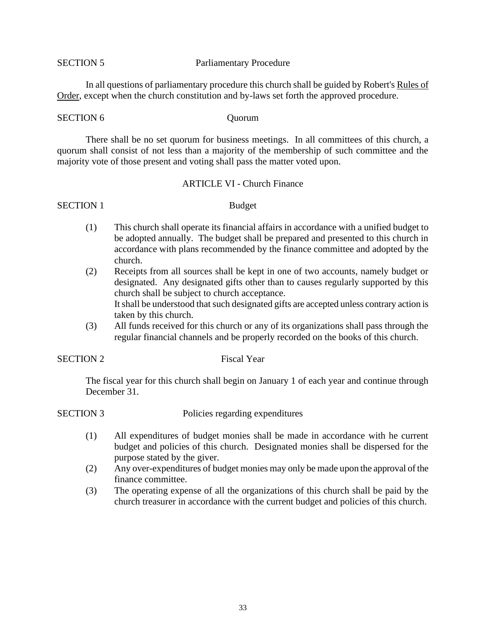### SECTION 5 Parliamentary Procedure

In all questions of parliamentary procedure this church shall be guided by Robert's Rules of Order, except when the church constitution and by-laws set forth the approved procedure.

### SECTION 6 Quorum

There shall be no set quorum for business meetings. In all committees of this church, a quorum shall consist of not less than a majority of the membership of such committee and the majority vote of those present and voting shall pass the matter voted upon.

# ARTICLE VI - Church Finance

SECTION 1 Budget

- (1) This church shall operate its financial affairs in accordance with a unified budget to be adopted annually. The budget shall be prepared and presented to this church in accordance with plans recommended by the finance committee and adopted by the church.
- (2) Receipts from all sources shall be kept in one of two accounts, namely budget or designated. Any designated gifts other than to causes regularly supported by this church shall be subject to church acceptance. It shall be understood that such designated gifts are accepted unless contrary action is taken by this church.
- (3) All funds received for this church or any of its organizations shall pass through the regular financial channels and be properly recorded on the books of this church.

SECTION 2 Fiscal Year

The fiscal year for this church shall begin on January 1 of each year and continue through December 31.

SECTION 3 Policies regarding expenditures

- (1) All expenditures of budget monies shall be made in accordance with he current budget and policies of this church. Designated monies shall be dispersed for the purpose stated by the giver.
- (2) Any over-expenditures of budget monies may only be made upon the approval of the finance committee.
- (3) The operating expense of all the organizations of this church shall be paid by the church treasurer in accordance with the current budget and policies of this church.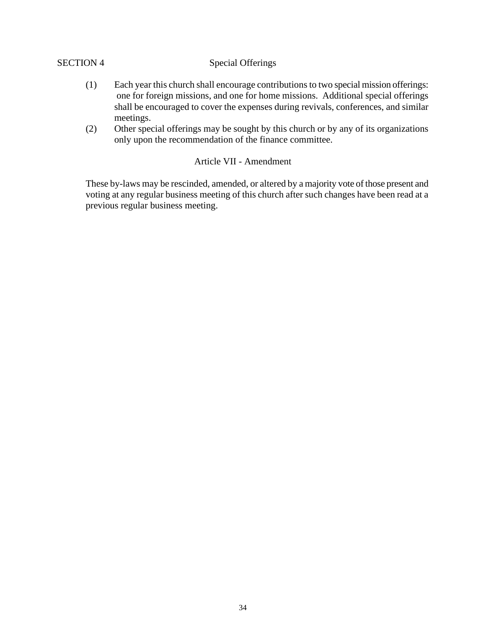# SECTION 4 Special Offerings

- (1) Each year this church shall encourage contributions to two special mission offerings: one for foreign missions, and one for home missions. Additional special offerings shall be encouraged to cover the expenses during revivals, conferences, and similar meetings.
- (2) Other special offerings may be sought by this church or by any of its organizations only upon the recommendation of the finance committee.

# Article VII - Amendment

These by-laws may be rescinded, amended, or altered by a majority vote of those present and voting at any regular business meeting of this church after such changes have been read at a previous regular business meeting.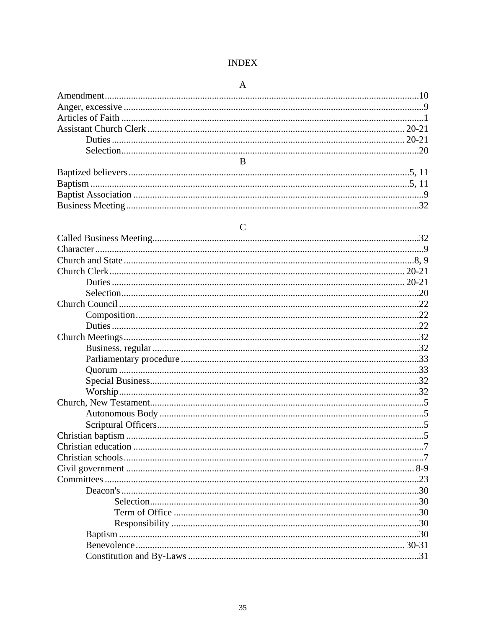# **INDEX**

# $\mathbf A$

# $\mathsf{C}$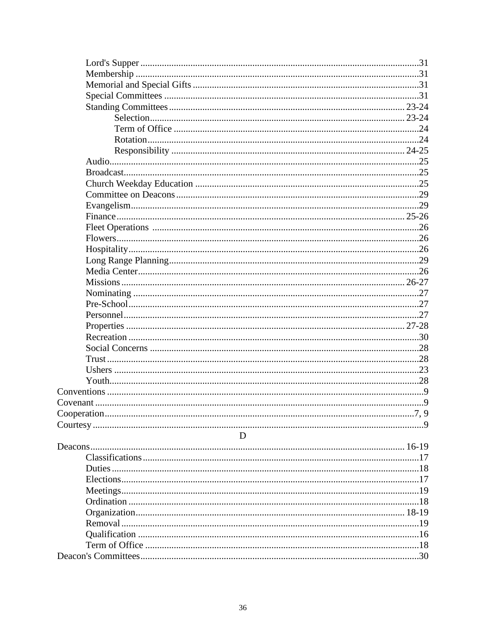| D |  |
|---|--|
|   |  |
|   |  |
|   |  |
|   |  |
|   |  |
|   |  |
|   |  |
|   |  |
|   |  |
|   |  |
|   |  |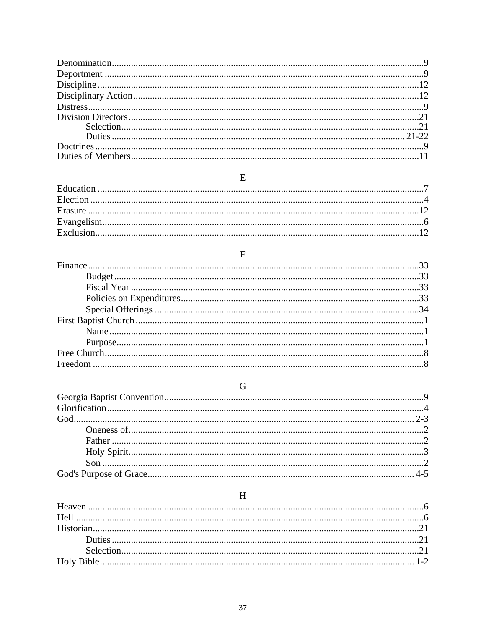# $\mathbf E$

# $\overline{G}$

# $\mathbf{H}%$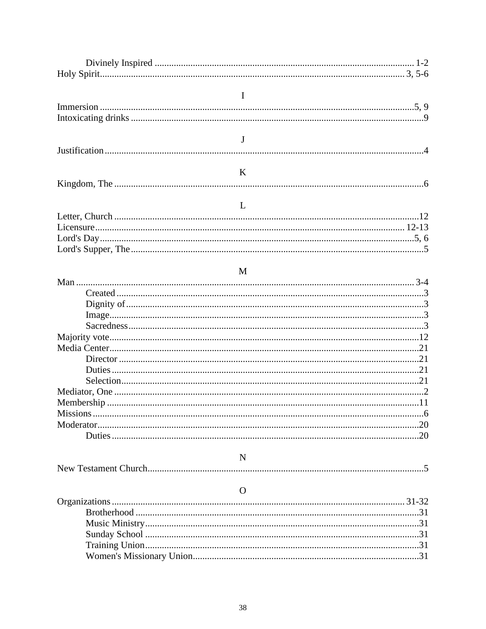| $\mathbf I$  |  |
|--------------|--|
|              |  |
|              |  |
|              |  |
| J            |  |
|              |  |
|              |  |
| $\bf K$      |  |
|              |  |
|              |  |
| $\mathbf{L}$ |  |
|              |  |
|              |  |
|              |  |
|              |  |
|              |  |
| M            |  |
|              |  |
|              |  |
|              |  |
|              |  |
|              |  |
|              |  |
|              |  |
|              |  |
|              |  |
|              |  |
|              |  |
|              |  |

# 

# ${\bf O}$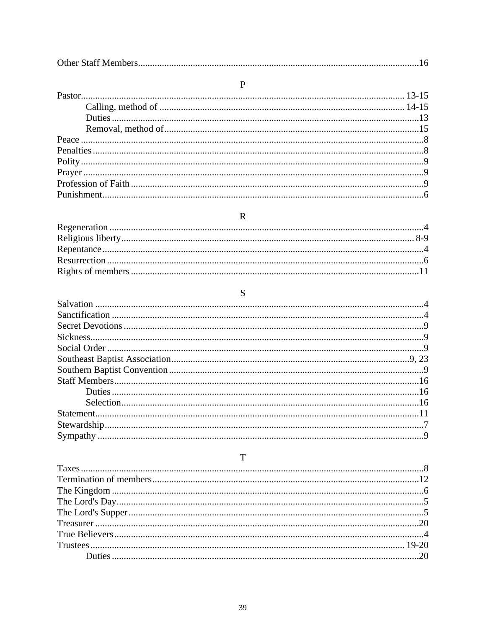|--|

# $\overline{P}$

# $\mathbf R$

# $\overline{\mathbf{S}}$

# $\overline{T}$